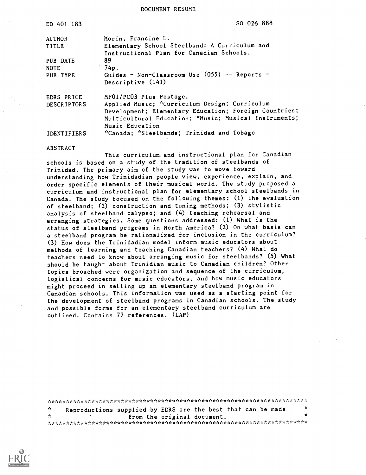DOCUMENT RESUME

| ED 401 183         | SO 026 888                                            |  |
|--------------------|-------------------------------------------------------|--|
| <b>AUTHOR</b>      | Morin, Francine L.                                    |  |
| <b>TITLE</b>       | Elementary School Steelband: A Curriculum and         |  |
|                    | Instructional Plan for Canadian Schools.              |  |
| PUB DATE           | 89                                                    |  |
| <b>NOTE</b>        | 74p.                                                  |  |
| PUB TYPE           | Guides - Non-Classroom Use $(055)$ -- Reports -       |  |
|                    | Descriptive (141)                                     |  |
| EDRS PRICE         | MF01/PC03 Plus Postage.                               |  |
| <b>DESCRIPTORS</b> | Applied Music; *Curriculum Design; Curriculum         |  |
|                    | Development; Elementary Education; Foreign Countries; |  |
|                    | Multicultural Education; *Music; Musical Instruments; |  |
|                    | Music Education                                       |  |
| <b>IDENTIFIERS</b> | "Canada; "Steelbands; Trinidad and Tobago             |  |

#### ABSTRACT

This curriculum and instructional plan for Canadian schools is based on a study of the tradition of steelbands of Trinidad. The primary aim of the study was to move toward understanding how Trinidadian people view, experience, explain, and order specific elements of their musical world. The study proposed a curriculum and instructional plan for elementary school steelbands in Canada. The study focused on the following themes: (1) the evaluation of steelband; (2) construction and tuning methods; (3) stylistic analysis of steelband calypso; and (4) teaching rehearsal and arranging strategies. Some questions addressed: (1) What is the status of steelband programs in North America? (2) On what basis can a steelband program be rationalized for inclusion in the curriculum? (3) How does the Trinidadian model inform music educators about methods of learning and teaching Canadian teachers? (4) What do teachers need to know about arranging music for steelbands? (5) What should be taught about Trinidian music to Canadian children? Other topics broached were organization and sequence of the curriculum, logistical concerns for music educators, and how music educators might proceed in setting up an elementary steelband program in Canadian schools. This information was used as a starting point for the development of steelband programs in Canadian schools. The study and possible forms for an elementary steelband curriculum are outlined. Contains 77 references. (LAP)

\*\*\*\*\*\*\*\*\*\*\*\*\*\*\*\*\*\*\*\*\*\*\*\*\*\*\*\*\*\*\*\*\*\*\*\*\*\*\*\*\*\*\*\*\*\*\*\*\*\*\*\*\*\*\*\*\*\*\*\*\*\*\*\*\*\*\*\*\*\*\* \* Reproductions supplied by EDRS are the best that can be made \* from the original document. -r\*AAA:.AAAAAA\*AAAAA:r\*AAAA\*\*i.A:v1H,AAAA:.AAAAAAk\*\* '\*\*\*\*\*\*\*\*\*\*\*\*

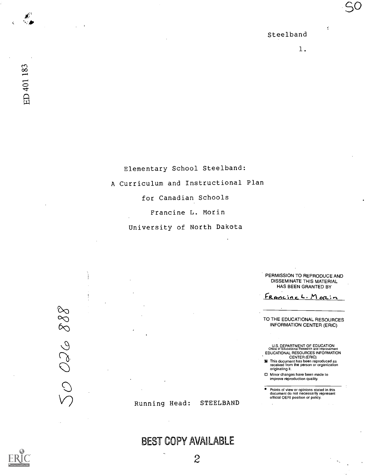ť

50

ED 401 183

Elementary School Steelband: A Curriculum and Instructional Plan for Canadian Schools Francine L. Morin

University of North Dakota

PERMISSION TO REPRODUCE AND DISSEMINATE THIS MATERIAL HAS BEEN GRANTED BY

FRANCINE L. Morin

TO THE EDUCATIONAL RESOURCES INFORMATION CENTER (ERIC)

U.S. DEPARTMENT OF EDUCATION<br>Office of Educational Research and Improvement<br>EDUCATIONAL RESOURCES INFORMATION<br>**X** This document has been reproduced as<br>received from the person or organization

- originating it.
- Minor changes have been made to improve reproduction quality.

Points of view or opinions stated in this document do not necessarily represent official OERI position or policy.

88 950 0.

Running Head: STEELBAND

BEST COPY AVAILABLE

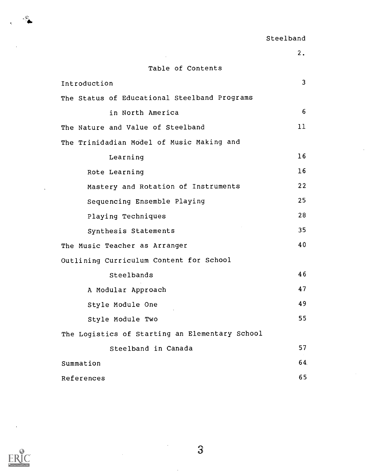# Table of Contents

 $\mathcal{L}_{\mathcal{A}}$ 

| Introduction                                   | 3  |  |  |  |
|------------------------------------------------|----|--|--|--|
| The Status of Educational Steelband Programs   |    |  |  |  |
| in North America                               | 6  |  |  |  |
| The Nature and Value of Steelband              | 11 |  |  |  |
| The Trinidadian Model of Music Making and      |    |  |  |  |
| Learning                                       | 16 |  |  |  |
| Rote Learning                                  | 16 |  |  |  |
| Mastery and Rotation of Instruments            | 22 |  |  |  |
| Sequencing Ensemble Playing                    | 25 |  |  |  |
| Playing Techniques                             | 28 |  |  |  |
| Synthesis Statements                           | 35 |  |  |  |
| The Music Teacher as Arranger                  | 40 |  |  |  |
| Outlining Curriculum Content for School        |    |  |  |  |
| Steelbands                                     | 46 |  |  |  |
| A Modular Approach                             | 47 |  |  |  |
| Style Module One                               | 49 |  |  |  |
| Style Module Two                               | 55 |  |  |  |
| The Logistics of Starting an Elementary School |    |  |  |  |
| Steelband in Canada                            | 57 |  |  |  |
| Summation                                      | 64 |  |  |  |
| References                                     | 65 |  |  |  |

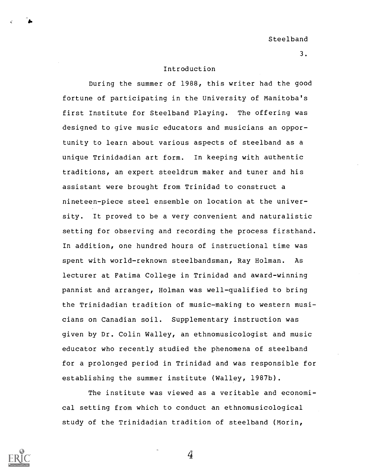#### Introduction

During the summer of 1988, this writer had the good fortune of participating in the University of Manitoba's first Institute for Steelband Playing. The offering was designed to give music educators and musicians an opportunity to learn about various aspects of steelband as a unique Trinidadian art form. In keeping with authentic traditions, an expert steeldrum maker and tuner and his assistant were brought from Trinidad to construct a nineteen-piece steel ensemble on location at the university. It proved to be a very convenient and naturalistic setting for observing and recording the process firsthand. In addition, one hundred hours of instructional time was spent with world-reknown steelbandsman, Ray Holman. As lecturer at Fatima College in Trinidad and award-winning pannist and arranger, Holman was well-qualified to bring the Trinidadian tradition of music-making to western musicians on Canadian soil. Supplementary instruction was given by Dr. Colin Walley, an ethnomusicologist and music educator who recently studied the phenomena of steelband for a prolonged period in Trinidad and was responsible for establishing the summer institute (Walley, 1987b).

The institute was viewed as a veritable and economical setting from which to conduct an ethnomusicological study of the Trinidadian tradition of steelband (Morin,

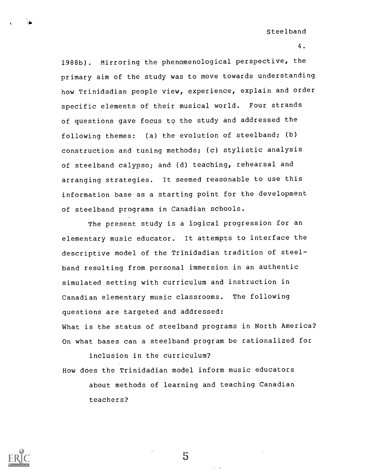4.

1988b). Mirroring the phenomenological perspective, the primary aim of the study was to move towards understanding how Trinidadian people view, experience, explain and order specific elements of their musical world. Four strands of questions gave focus to the study and addressed the following themes: (a) the evolution of steelband; (b) construction and tuning methods; (c) stylistic analysis of steelband calypso; and (d) teaching, rehearsal and arranging strategies. It seemed reasonable to use this information base as a starting point for the development of steelband programs in Canadian schools.

The present study is a logical progression for an elementary music educator. It attempts to interface the descriptive model of the Trinidadian tradition of steelband resulting from personal immersion in an authentic simulated setting with curriculum and instruction in Canadian elementary music classrooms. The following questions are targeted and addressed: What is the status of steelband programs in North America? On what bases can a steelband program be rationalized for

inclusion in the curriculum? How does the Trinidadian model inform music educators about methods of learning and teaching Canadian teachers?



 $\bullet$  . The set of  $\bullet$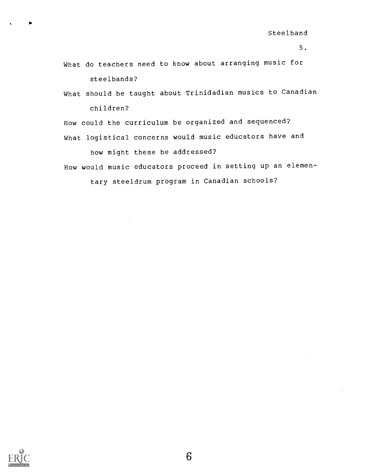What do teachers need to know about arranging music for steelbands?

What should be taught about Trinidadian musics to Canadian children?

How could the curriculum be organized and sequenced? What logistical concerns would music educators have and

how might these be addressed?

How would music educators proceed in setting up an elemen-

tary steeldrum program in Canadian schools?

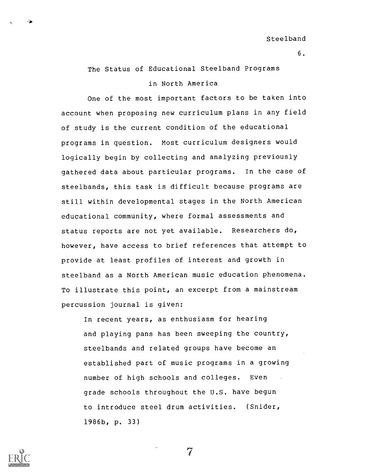The Status of Educational Steelband Programs

### in North America

One of the most important factors to be taken into account when proposing new curriculum plans in any field of study is the current condition of the educational programs in question. Most curriculum designers would logically begin by collecting and analyzing previously gathered data about particular programs. In the case of steelbands, this task is difficult because programs are still within developmental stages in the North American educational community, where formal assessments and status reports are not yet available. Researchers do, however, have access to brief references that attempt to provide at least profiles of interest and growth in steelband as a North American music education phenomena. To illustrate this point, an excerpt from a mainstream percussion journal is given:

In recent years, as enthusiasm for hearing and playing pans has been sweeping the country, steelbands and related groups have become an established part of music programs in a growing number of high schools and colleges. Even grade schools throughout the U.S. have begun to introduce steel drum activities. (Snider, 1986b, p. 33)

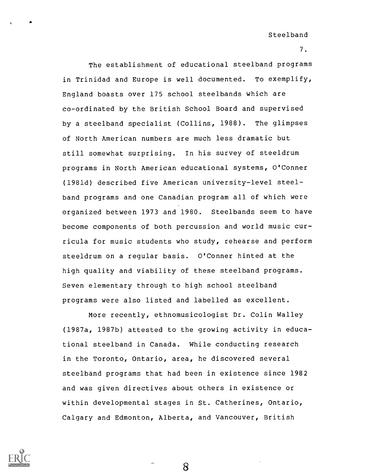7.

The establishment of educational steelband programs in Trinidad and Europe is well documented. To exemplify, England boasts over 175 school steelbands which are co-ordinated by the British School Board and supervised by a steelband specialist (Collins, 1988). The glimpses of North American numbers are much less dramatic but still somewhat surprising. In his survey of steeldrum programs in North American educational systems, O'Conner (1981d) described five American university-level steelband programs and one Canadian program all of which were organized between 1973 and 1980. Steelbands seem to have become components of both percussion and world music curricula for music students who study, rehearse and perform steeldrum on a regular basis. O'Conner hinted at the high quality and viability of these steelband programs. Seven elementary through to high school steelband programs were also listed and labelled as excellent.

More recently, ethnomusicologist Dr. Colin Walley (1987a, 1987b) attested to the growing activity in educational steelband in Canada. While conducting research in the Toronto, Ontario, area, he discovered several steelband programs that had been in existence since 1982 and was given directives about others in existence or within developmental stages in St. Catherines, Ontario, Calgary and Edmonton, Alberta, and Vancouver, British

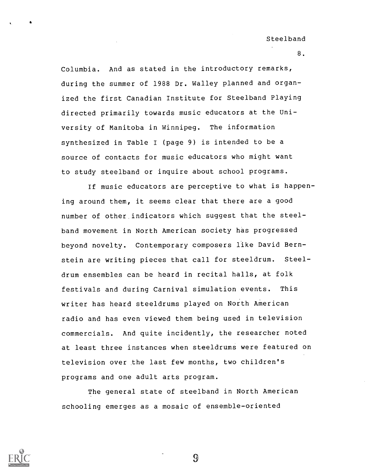8.

Columbia. And as stated in the introductory remarks, during the summer of 1988 Dr. Walley planned and organized the first Canadian Institute for Steelband Playing directed primarily towards music educators at the University of Manitoba in Winnipeg. The information synthesized in Table I (page 9) is intended to be a source of contacts for music educators who might want to study steelband or inquire about school programs.

If music educators are perceptive to what is happening around them, it seems clear that there are a good number of other indicators which suggest that the steelband movement in North American society has progressed beyond novelty. Contemporary composers like David Bernstein are writing pieces that call for steeldrum. Steeldrum ensembles can be heard in recital halls, at folk festivals and during Carnival simulation events. This writer has heard steeldrums played on North American radio and has even viewed them being used in television commercials. And quite incidently, the researcher noted at least three instances when steeldrums were featured on television over the last few months, two children's programs and one adult arts program.

The general state of steelband in North American schooling emerges as a mosaic of ensemble-oriented

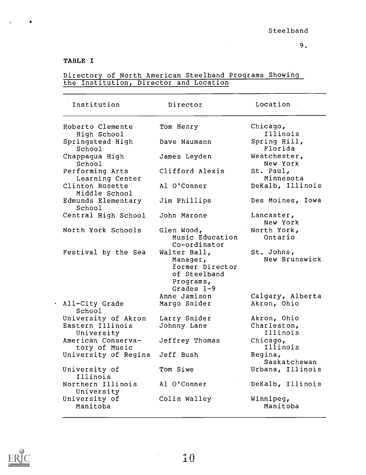# TABLE I

 $\blacktriangle$ 

| Institution                                           | Director                                                                                 | Location .                             |
|-------------------------------------------------------|------------------------------------------------------------------------------------------|----------------------------------------|
| Roberto Clemente<br>High School                       | Tom Henry                                                                                | Chicago,<br>Illinois                   |
| Springstead High<br>School                            | Dave Naumann                                                                             | Spring Hill,<br>Florida                |
| Chappaqua High<br>School                              | James Leyden                                                                             | Westchester,<br>New York               |
| Performing Arts<br>Learning Center                    | Clifford Alexis                                                                          | St. Paul,<br>Minnesota                 |
| Clinton Rosette<br>Middle School                      | Al O'Conner                                                                              | DeKalb, Illinois                       |
| Edmunds Elementary<br>School                          | Jim Phillips                                                                             | Des Moines, Iowa                       |
| Central High School                                   | John Marone                                                                              | Lancaster,<br>New York                 |
| North York Schools                                    | Glen Wood,<br>Music Education<br>Co-ordinator                                            | North York,<br>Ontario                 |
| Festival by the Sea                                   | Walter Ball,<br>Manager,<br>former Director<br>of Steelband<br>Programs,<br>Grades $1-9$ | St. Johns,<br>New Brunswick            |
| All-City Grade<br>School                              | Anne Jamison<br>Margo Snider                                                             | Calgary, Alberta<br>Akron, Ohio        |
| University of Akron<br>Eastern Illinois<br>University | Larry Snider<br>Johnny Lane                                                              | Akron, Ohio<br>Charleston,<br>Illinois |
| American Conserva-<br>tory of Music                   | Jeffrey Thomas                                                                           | Chicago,<br>Illinois                   |
| University of Regina                                  | Jeff Bush                                                                                | Regina,<br>Saskatchewan                |
| University of<br>Illinois                             | Tom Siwe                                                                                 | Urbana, Illinois                       |
| Northern Illinois<br>University                       | Al O'Conner                                                                              | DeKalb, Illinois                       |
| University of<br>Manitoba                             | Colin Walley                                                                             | Winnipeg,<br>Manitoba                  |

## Directory of North American Steelband Programs Showing the Institution, Director and Location



÷,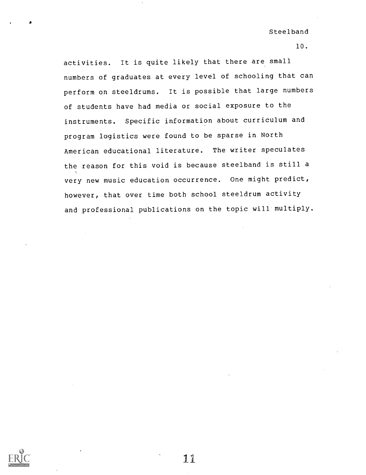10.

activities. It is quite likely that there are small numbers of graduates at every level of schooling that can perform on steeldrums. It is possible that large numbers of students have had media or social exposure to the instruments. Specific information about curriculum and program logistics were found to be sparse in North American educational literature. The writer speculates the reason for this void is because steelband is still a very new music education occurrence. One might predict, however, that over time both school steeldrum activity and professional publications on the topic will multiply.

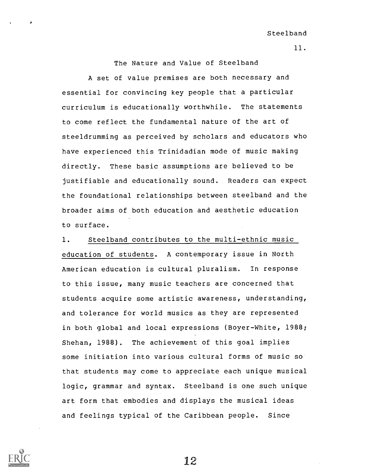The Nature and Value of Steelband

A set of value premises are both necessary and essential for convincing key people that a particular curriculum is educationally worthwhile. The statements to come reflect the fundamental nature of the art of steeldrumming as perceived by scholars and educators who have experienced this Trinidadian mode of music making directly. These basic assumptions are believed to be justifiable and educationally sound. Readers can expect the foundational relationships between steelband and the broader aims of both education and aesthetic education to surface.

1. Steelband contributes to the multi-ethnic music education of students. A contemporary issue in North American education is cultural pluralism. In response to this issue, many music teachers are concerned that students acquire some artistic awareness, understanding, and tolerance for world musics as they are represented in both global and local expressions (Boyer-White, 1988; Shehan, 1988). The achievement of this goal implies some initiation into various cultural forms of music so that students may come to appreciate each unique musical logic, grammar and syntax. Steelband is one such unique art form that embodies and displays the musical ideas and feelings typical of the Caribbean people. Since

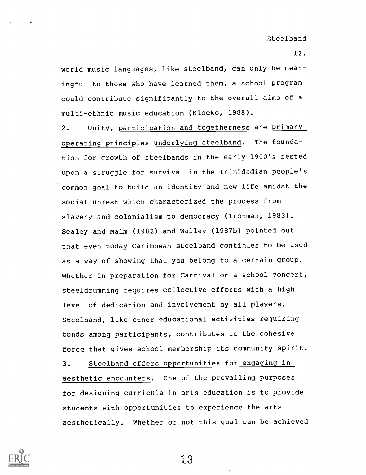12.

world music languages, like steelband, can only be meaningful to those who have learned them, a school program could contribute significantly to the overall aims of a multi-ethnic music education (Klocko, 1988).

2. Unity, participation and togetherness are primary operating principles underlying steelband. The foundation for growth of steelbands in the early 1900's rested upon a struggle for survival in the Trinidadian people's common goal to build an identity and new life amidst the social unrest which characterized the process from slavery and colonialism to democracy (Trotman, 1983). Sealey and Malm (1982) and Walley (1987b) pointed out that even today Caribbean steelband continues to be used as a way of showing that you belong to a certain group. Whether in preparation for Carnival or a school concert, steeldrumming requires collective efforts with a high level of dedication and involvement by all players. Steelband, like other educational activities requiring bonds among participants, contributes to the cohesive force that gives school membership its community spirit. 3. Steelband offers opportunities for engaging in aesthetic encounters. One of the prevailing purposes

for designing curricula in arts education is to provide students with opportunities to experience the arts aesthetically. Whether or not this goal can be achieved

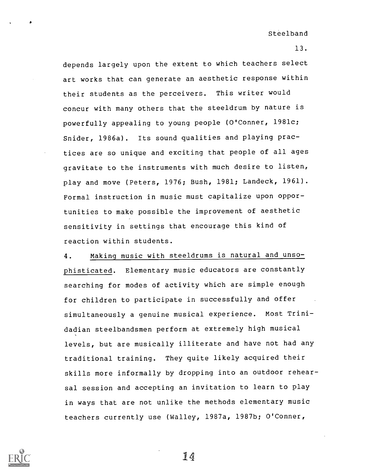13.

depends largely upon the extent to which teachers select art works that can generate an aesthetic response within their students as the perceivers. This writer would concur with many others that the steeldrum by nature is powerfully appealing to young people (O'Conner, 1981c; Snider, 1986a). Its sound qualities and playing practices are so unique and exciting that people of all ages gravitate to the instruments with much desire to listen, play and move (Peters, 1976; Bush, 1981; Landeck, 1961). Formal instruction in music must capitalize upon opportunities to make possible the improvement of aesthetic sensitivity in settings that encourage this kind of reaction within students.

4. Making music with steeldrums is natural and unsophisticated. Elementary music educators are constantly searching for modes of activity which are simple enough for children to participate in successfully and offer simultaneously a genuine musical experience. Most Trinidadian steelbandsmen perform at extremely high musical levels, but are musically illiterate and have not had any traditional training. They quite likely acquired their skills more informally by dropping into an outdoor rehearsal session and accepting an invitation to learn to play in ways that are not unlike the methods elementary music teachers currently use (Walley, 1987a, 1987b; O'Conner,

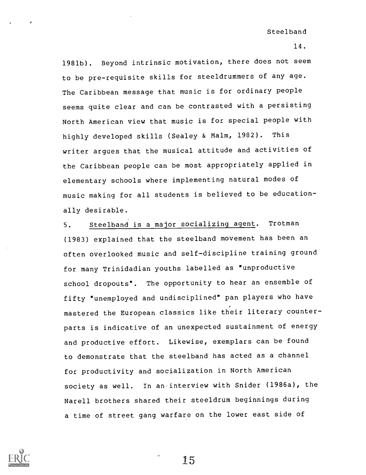14.

1981b). Beyond intrinsic motivation, there does not seem to be pre-requisite skills for steeldrummers of any age. The Caribbean message that music is for ordinary people seems quite clear and can be contrasted with a persisting North American view that music is for special people with highly developed skills (Sealey & Malm, 1982). This writer argues that the musical attitude and activities of the Caribbean people can be most appropriately applied in elementary schools where implementing natural modes of music making for all students is believed to be educationally desirable.

5. Steelband is a major socializing agent. Trotman (1983) explained that the steelband movement has been an often overlooked music and self-discipline training ground for many Trinidadian youths labelled as "unproductive school dropouts". The opportunity to hear an ensemble of fifty "unemployed and undisciplined" pan players who have mastered the European classics like their literary counterparts is indicative of an unexpected sustainment of energy and productive effort. Likewise, exemplars can be found to demonstrate that the steelband has acted as a channel for productivity and socialization in North American society as well. In an interview with Snider (1986a), the Narell brothers shared their steeldrum beginnings during a time of street gang warfare on the lower east side of

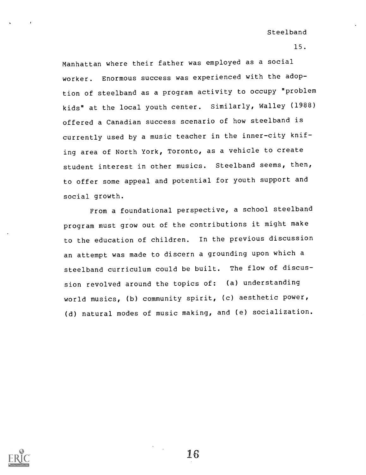15.

Manhattan where their father was employed as a social worker. Enormous success was experienced with the adoption of steelband as a program activity to occupy "problem kids" at the local youth center. Similarly, Walley (1988) offered a Canadian success scenario of how steelband is currently used by a music teacher in the inner-city knifing area of North York, Toronto, as a vehicle to create student interest in other musics. Steelband seems, then, to offer some appeal and potential for youth support and social growth.

From a foundational perspective, a school steelband program must grow out of the contributions it might make to the education of children. In the previous discussion an attempt was made to discern a grounding upon which a steelband curriculum could be built. The flow of discussion revolved around the topics of: (a) understanding world musics, (b) community spirit, (c) aesthetic power, (d) natural modes of music making, and (e) socialization.

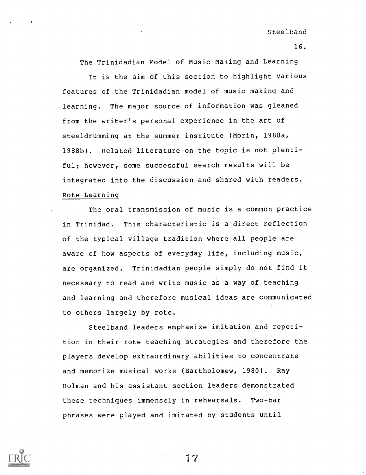16.

The Trinidadian Model of Music Making and Learning

It is the aim of this section to highlight various features of the Trinidadian model of music making and learning. The major source of information was gleaned from the writer's personal experience in the art of steeldrumming at the summer institute (Morin, 1988a, 1988b). Related literature on the topic is not plentiful; however, some successful search results will be integrated into the discussion and shared with readers. Rote Learning

The oral transmission of music is a common practice in Trinidad. This characteristic is a direct reflection of the typical village tradition where all people are aware of how aspects of everyday life, including music, are organized. Trinidadian people simply do not find it necessary to read and write music as a way of teaching and learning and therefore musical ideas are communicated to others largely by rote.

Steelband leaders emphasize imitation and repetition in their rote teaching strategies and therefore the players develop extraordinary abilities to concentrate and memorize musical works (Bartholomew, 1980). Ray Holman and his assistant section leaders demonstrated these techniques immensely in rehearsals. Two-bar phrases were played and imitated by students until

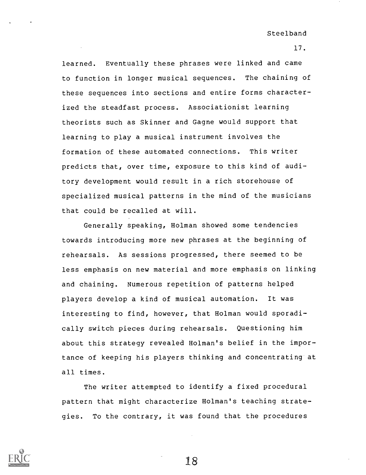17.

learned. Eventually these phrases were linked and came to function in longer musical sequences. The chaining of these sequences into sections and entire forms characterized the steadfast process. Associationist learning theorists such as Skinner and Gagne would support that learning to play a musical instrument involves the formation of these automated connections. This writer predicts that, over time, exposure to this kind of auditory development would result in a rich storehouse of specialized musical patterns in the mind of the musicians that could be recalled at will.

Generally speaking, Holman showed some tendencies towards introducing more new phrases at the beginning of rehearsals. As sessions progressed, there seemed to be less emphasis on new material and more emphasis on linking and chaining. Numerous repetition of patterns helped players develop a kind of musical automation. It was interesting to find, however, that Holman would sporadically switch pieces during rehearsals. Questioning him about this strategy revealed Holman's belief in the importance of keeping his players thinking and concentrating at all times.

The writer attempted to identify a fixed procedural pattern that might characterize Holman's teaching strategies. To the contrary, it was found that the procedures

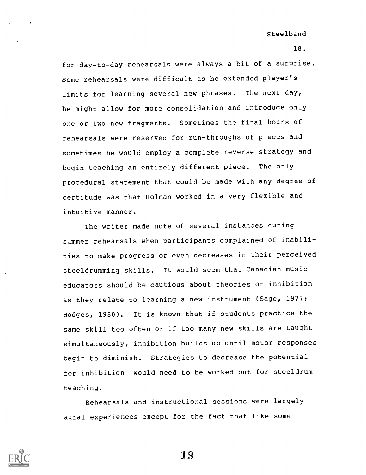18.

for day-to-day rehearsals were always a bit of a surprise. Some rehearsals were difficult as he extended player's limits for learning several new phrases. The next day, he might allow for more consolidation and introduce only one or two new fragments. Sometimes the final hours of rehearsals were reserved for run-throughs of pieces and sometimes he would employ a complete reverse strategy and begin teaching an entirely different piece. The only procedural statement that could be made with any degree of certitude was that Holman worked in a very flexible and intuitive manner.

The writer made note of several instances during summer rehearsals when participants complained of inabilities to make progress or even decreases in their perceived steeldrumming skills. It would seem that Canadian music educators should be cautious about theories of inhibition as they relate to learning a new instrument (Sage, 1977; Hodges, 1980). It is known that if students practice the same skill too often or if too many new skills are taught simultaneously, inhibition builds up until motor responses begin to diminish. Strategies to decrease the potential for inhibition would need to be worked out for steeldrum teaching.

Rehearsals and instructional sessions were largely aural experiences except for the fact that like some

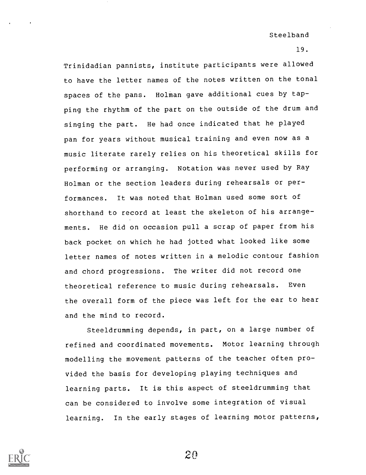19.

Trinidadian pannists, institute participants were allowed to have the letter names of the notes written on the tonal spaces of the pans. Holman gave additional cues by tapping the rhythm of the part on the outside of the drum and singing the part. He had once indicated that he played pan for years without musical training and even now as a music literate rarely relies on his theoretical skills for performing or arranging. Notation was never used by Ray Holman or the section leaders during rehearsals or performances. It was noted that Holman used some sort of shorthand to record at least the skeleton of his arrangements. He did on occasion pull a scrap of paper from his back pocket on which he had jotted what looked like some letter names of notes written in a melodic contour fashion and chord progressions. The writer did not record one theoretical reference to music during rehearsals. Even the overall form of the piece was left for the ear to hear and the mind to record.

Steeldrumming depends, in part, on a large number of refined and coordinated movements. Motor learning through modelling the movement patterns of the teacher often provided the basis for developing playing techniques and learning parts. It is this aspect of steeldrumming that can be considered to involve some integration of visual learning. In the early stages of learning motor patterns,



2n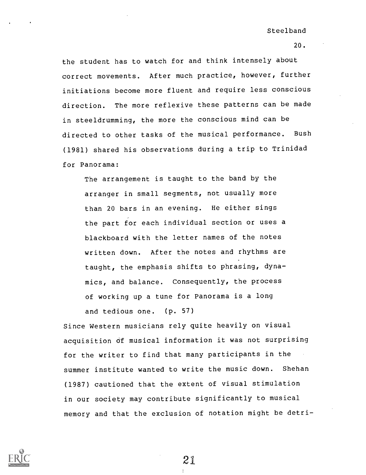20.

the student has to watch for and think intensely about correct movements. After much practice, however, further initiations become more fluent and require less conscious direction. The more reflexive these patterns can be made in steeldrumming, the more the conscious mind can be directed to other tasks of the musical performance. Bush (1981) shared his observations during a trip to Trinidad for Panorama:

The arrangement is taught to the band by the arranger in small segments, not usually more than 20 bars in an evening. He either sings the part for each individual section or uses a blackboard with the letter names of the notes written down. After the notes and rhythms are taught, the emphasis shifts to phrasing, dynamics, and balance. Consequently, the process of working up a tune for Panorama is a long and tedious one. (p. 57)

Since Western musicians rely quite heavily on visual acquisition of musical information it was not surprising for the writer to find that many participants in the summer institute wanted to write the music down. Shehan (1987) cautioned that the extent of visual stimulation in our society may contribute significantly to musical memory and that the exclusion of notation might be detri-

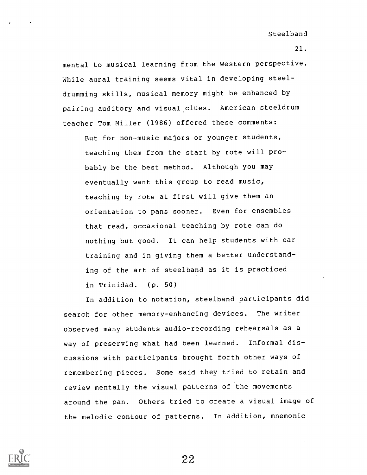21.

mental to musical learning from the Western perspective. While aural training seems vital in developing steeldrumming skills, musical memory might be enhanced by pairing auditory and visual clues. American steeldrum teacher Tom Miller (1986) offered these comments:

But for non-music majors or younger students, teaching them from the start by rote will probably be the best method. Although you may eventually want this group to read music, teaching by rote at first will give them an orientation to pans sooner. Even for ensembles that read, occasional teaching by rote can do nothing but good. It can help students with ear training and in giving them a better understanding of the art of steelband as it is practiced in Trinidad. (p. 50)

In addition to notation, steelband participants did search for other memory-enhancing devices. The writer observed many students audio-recording rehearsals as a way of preserving what had been learned. Informal discussions with participants brought forth other ways of remembering pieces. Some said they tried to retain and review mentally the visual patterns of the movements around the pan. Others tried to create a visual image of the melodic contour of patterns. In addition, mnemonic

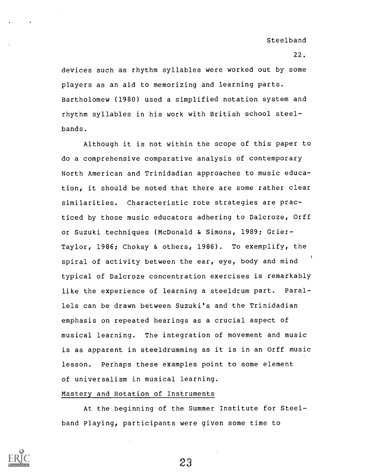22.

devices such as rhythm syllables were worked out by some players as an aid to memorizing and learning parts. Bartholomew (1980) used a simplified notation system and rhythm syllables in his work with British school steelbands.

Although it is not within the scope of this paper to do a comprehensive comparative analysis of contemporary North American and Trinidadian approaches to music education, it should be noted that there are some rather clear similarities. Characteristic rote strategies are practiced by those music educators adhering to Dalcroze, Orff or Suzuki techniques (McDonald & Simons, 1989; Grier-Taylor, 1986; Choksy & others, 1986). To exemplify, the spiral of activity between the ear, eye, body and mind typical of Dalcroze concentration exercises is remarkably like the experience of learning a steeldrum part. Parallels can be drawn between Suzuki's and the Trinidadian emphasis on repeated hearings as a crucial aspect of musical learning. The integration of movement and music is as apparent in steeldrumming as it is in an Orff music lesson. Perhaps these examples point to some element of universalism in musical learning.

## Mastery and Rotation of Instruments

At the beginning of the Summer Institute for Steelband Playing, participants were given some time to

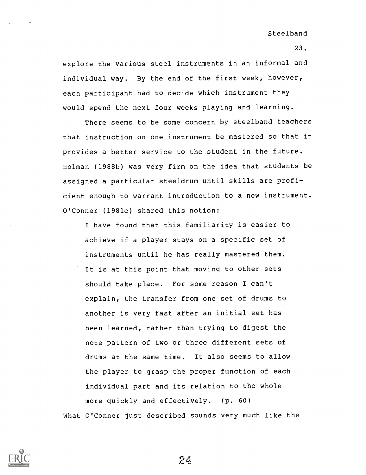23.

explore the various steel instruments in an informal and individual way. By the end of the first week, however, each participant had to decide which instrument they would spend the next four weeks playing and learning.

There seems to be some concern by steelband teachers that instruction on one instrument be mastered so that it provides a better service to the student in the future. Holman (1988b) was very firm on the idea that students be assigned a particular steeldrum until skills are proficient enough to warrant introduction to a new instrument. O'Conner (1981c) shared this notion:

I have found that this familiarity is easier to achieve if a player stays on a specific set of instruments until he has really mastered them. It is at this point that moving to other sets should take place. For some reason I can't explain, the transfer from one set of drums to another is very fast after an initial set has been learned, rather than trying to digest the note pattern of two or three different sets of drums at the same time. It also seems to allow the player to grasp the proper function of each individual part and its relation to the whole more quickly and effectively. (p. 60) What O'Conner just described sounds very much like the

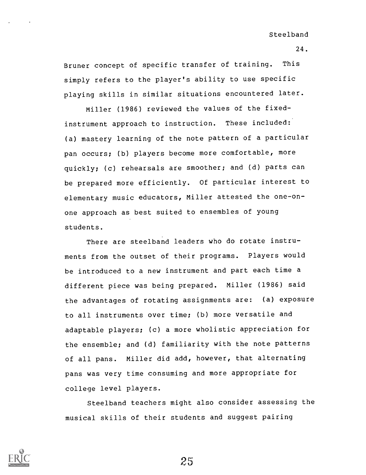Bruner concept of specific transfer of training. This simply refers to the player's ability to use specific playing skills in similar situations encountered later.

Miller (1986) reviewed the values of the fixedinstrument approach to instruction. These included: (a) mastery learning of the note pattern of a particular pan occurs; (b) players become more comfortable, more quickly; (c) rehearsals are smoother; and (d) parts can be prepared more efficiently. Of particular interest to elementary music educators, Miller attested the one-onone approach as best suited to ensembles of young students.

There are steelband leaders who do rotate instruments from the outset of their programs. Players would be introduced to a new instrument and part each time a different piece was being prepared. Miller (1986) said the advantages of rotating assignments are: (a) exposure to all instruments over time; (b) more versatile and adaptable players; (c) a more wholistic appreciation for the ensemble; and (d) familiarity with the note patterns of all pans. Miller did add, however, that alternating pans was very time consuming and more appropriate for college level players.

Steelband teachers might also consider assessing the musical skills of their students and suggest pairing

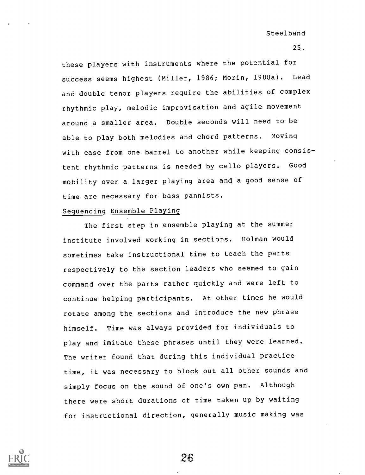25.

these players with instruments where the potential for success seems highest (Miller, 1986; Morin, 1988a). Lead and double tenor players require the abilities of complex rhythmic play, melodic improvisation and agile movement around a smaller area. Double seconds will need to be able to play both melodies and chord patterns. Moving with ease from one barrel to another while keeping consistent rhythmic patterns is needed by cello players. Good mobility over a larger playing area and a good sense of time are necessary for bass pannists.

#### Sequencing Ensemble Playing

The first step in ensemble playing at the summer institute involved working in sections. Holman would sometimes take instructional time to teach the parts respectively to the section leaders who seemed to gain command over the parts rather quickly and were left to continue helping participants. At other times he would rotate among the sections and introduce the new phrase himself. Time was always provided for individuals to play and imitate these phrases until they were learned. The writer found that during this individual practice time, it was necessary to block out all other sounds and simply focus on the sound of one's own pan. Although there were short durations of time taken up by waiting for instructional direction, generally music making was

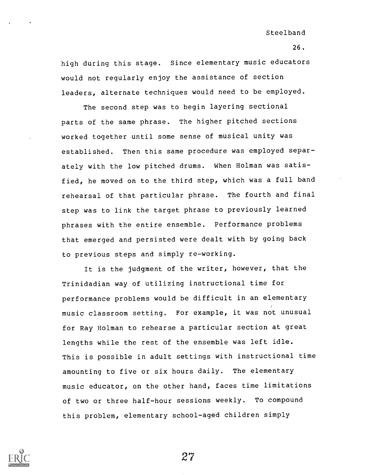26.

high during this stage. Since elementary music educators would not regularly enjoy the assistance of section leaders, alternate techniques would need to be employed.

The second step was to begin layering sectional parts of the same phrase. The higher pitched sections worked together until some sense of musical unity was established. Then this same procedure was employed separately with the low pitched drums. When Holman was satisfied, he moved on to the third step, which was a full band rehearsal of that particular phrase. The fourth and final step was to link the target phrase to previously learned phrases with the entire ensemble. Performance problems that emerged and persisted were dealt with by going back to previous steps and simply re-working.

It is the judgment of the writer, however, that the Trinidadian way of utilizing instructional time for performance problems would be difficult in an elementary music classroom setting. For example, it was not unusual for Ray Holman to rehearse a particular section at great lengths while the rest of the ensemble was left idle. This is possible in adult settings with instructional time amounting to five or six hours daily. The elementary music educator, on the other hand, faces time limitations of two or three half-hour sessions weekly. To compound this problem, elementary school-aged children simply

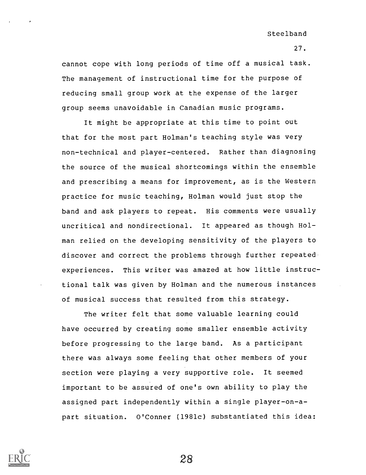27.

cannot cope with long periods of time off a musical task. The management of instructional time for the purpose of reducing small group work at the expense of the larger group seems unavoidable in Canadian music programs.

It might be appropriate at this time to point out that for the most part Holman's teaching style was very non-technical and player-centered. Rather than diagnosing the source of the musical shortcomings within the ensemble and prescribing a means for improvement, as is the Western practice for music teaching, Holman would just stop the band and ask players to repeat. His comments were usually uncritical and nondirectional. It appeared as though Holman relied on the developing sensitivity of the players to discover and correct the problems through further repeated experiences. This writer was amazed at how little instructional talk was given by Holman and the numerous instances of musical success that resulted from this strategy.

The writer felt that some valuable learning could have occurred by creating some smaller ensemble activity before progressing to the large band. As a participant there was always some feeling that other members of your section were playing a very supportive role. It seemed important to be assured of one's own ability to play the assigned part independently within a single player-on-apart situation. O'Conner (1981c) substantiated this idea:

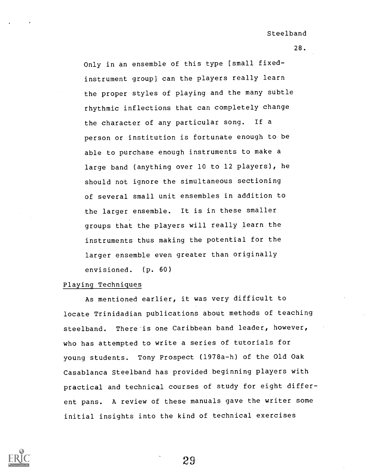28.

Only in an ensemble of this type [small fixedinstrument group] can the players really learn the proper styles of playing and the many subtle rhythmic inflections that can completely change the character of any particular song. If a person or institution is fortunate enough to be able to purchase enough instruments to make a large band (anything over 10 to 12 players), he should not ignore the simultaneous sectioning of several small unit ensembles in addition to the larger ensemble. It is in these smaller groups that the players will really learn the instruments thus making the potential for the larger ensemble even greater than originally envisioned. (p. 60)

### Playing Techniques

As mentioned earlier, it was very difficult to locate Trinidadian publications about methods of teaching steelband. There is one Caribbean band leader, however, who has attempted to write a series of tutorials for young students. Tony Prospect (1978a-h) of the Old Oak Casablanca Steelband has provided beginning players with practical and technical courses of study for eight different pans. A review of these manuals gave the writer some initial insights into the kind of technical exercises

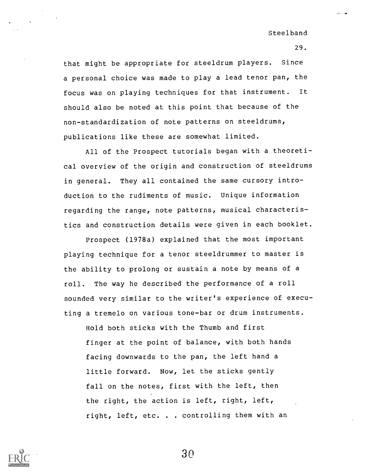29.

that might be appropriate for steeldrum players. Since a personal choice was made to play a lead tenor pan, the focus was on playing techniques for that instrument. It should also be noted at this point that because of the non-standardization of note patterns on steeldrums, publications like these are somewhat limited.

All of the Prospect tutorials began with a theoretical overview of the origin and construction of steeldrums in general. They all contained the same cursory introduction to the rudiments of music. Unique information regarding the range, note patterns, musical characteristics and construction details were given in each booklet.

Prospect (1978a) explained that the most important playing technique for a tenor steeldrummer to master is the ability to prolong or sustain a note by means of a roll. The way he described the performance of a roll sounded very similar to the writer's experience of executing a tremelo on various tone-bar or drum instruments.

Hold both sticks with the Thumb and first finger at the point of balance, with both hands facing downwards to the pan, the left hand a little forward. Now, let the sticks gently fall on the notes, first with the left, then the right, the action is left, right, left, right, left, etc. . . controlling them with an

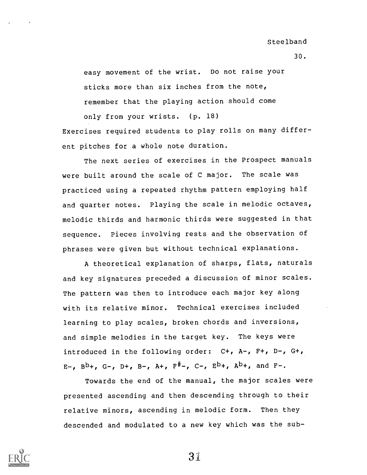30.

easy movement of the wrist. Do not raise your sticks more than six inches from the note, remember that the playing action should come only from your wrists. (p. 18)

Exercises required students to play rolls on many different pitches for a whole note duration.

The next series of exercises in the Prospect manuals were built around the scale of C major. The scale was practiced using a repeated rhythm pattern employing half and quarter notes. Playing the scale in melodic octaves, melodic thirds and harmonic thirds were suggested in that sequence. Pieces involving rests and the observation of phrases were given but without technical explanations.

A theoretical explanation of sharps, flats, naturals and key signatures preceded a discussion of minor scales. The pattern was then to introduce each major key along with its relative minor. Technical exercises included learning to play scales, broken chords and inversions, and simple melodies in the target key. The keys were introduced in the following order: C+, A-, F+, D-, G+, E-,  $B^b$ +, G-, D+, B-, A+,  $F^{\#}$ -, C-,  $E^b$ +,  $A^b$ +, and F-.

Towards the end of the manual, the major scales were presented ascending and then descending through to their relative minors, ascending in melodic form. Then they descended and modulated to a new key which was the sub-

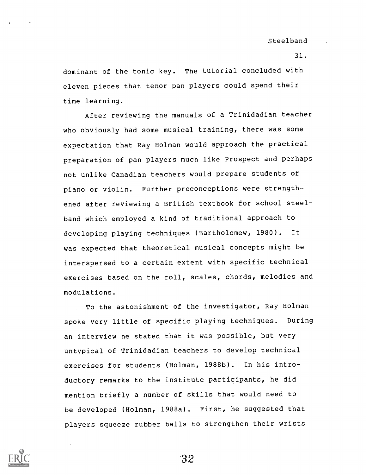dominant of the tonic key. The tutorial concluded with eleven pieces that tenor pan players could spend their time learning.

After reviewing the manuals of a Trinidadian teacher who obviously had some musical training, there was some expectation that Ray Holman would approach the practical preparation of pan players much like Prospect and perhaps not unlike Canadian teachers would prepare students of piano or violin. Further preconceptions were strengthened after reviewing a British textbook for school steelband which employed a kind of traditional approach to developing playing techniques (Bartholomew, 1980). It was expected that theoretical musical concepts might be interspersed to a certain extent with specific technical exercises based on the roll, scales, chords, melodies and modulations.

To the astonishment of the investigator, Ray Holman spoke very little of specific playing techniques. During an interview he stated that it was possible, but very untypical of Trinidadian teachers to develop technical exercises for students (Holman, 1988b). In his introductory remarks to the institute participants, he did mention briefly a number of skills that would need to be developed (Holman, 1988a). First, he suggested that players squeeze rubber balls to strengthen their wrists

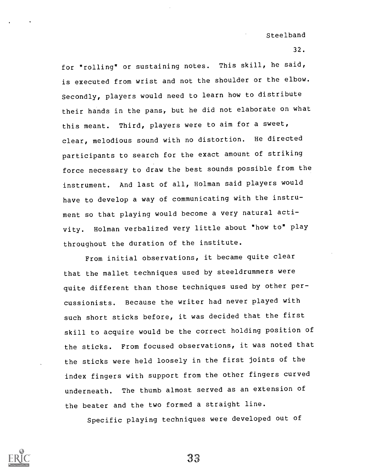32.

for "rolling" or sustaining notes. This skill, he said, is executed from wrist and not the shoulder or the elbow. Secondly, players would need to learn how to distribute their hands in the pans, but he did not elaborate on what this meant. Third, players were to aim for a sweet, clear, melodious sound with no distortion. He directed participants to search for the exact amount of striking force necessary to draw the best sounds possible from the instrument. And last of all, Holman said players would have to develop a way of communicating with the instrument so that playing would become a very natural activity. Holman verbalized very little about "how to" play throughout the duration of the institute.

From initial observations, it became quite clear that the mallet techniques used by steeldrummers were quite different than those techniques used by other percussionists. Because the writer had never played with such short sticks before, it was decided that the first skill to acquire would be the correct holding position of the sticks. From focused observations, it was noted that the sticks were held loosely in the first joints of the index fingers with support from the other fingers curved underneath. The thumb almost served as an extension of the beater and the two formed a straight line.

Specific playing techniques were developed out of

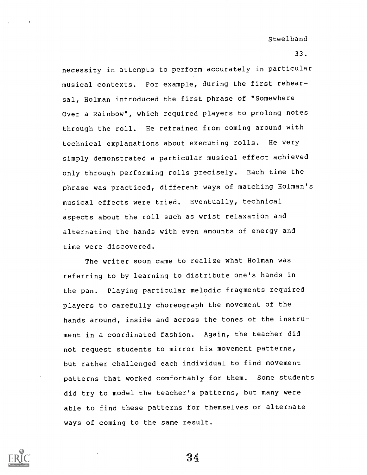33.

necessity in attempts to perform accurately in particular musical contexts. For example, during the first rehearsal, Holman introduced the first phrase of "Somewhere Over a Rainbow", which required players to prolong notes through the roll. He refrained from coming around with technical explanations about executing rolls. He very simply demonstrated a particular musical effect achieved only through performing rolls precisely. Each time the phrase was practiced, different ways of matching Holman's musical effects were tried. Eventually, technical aspects about the roll such as wrist relaxation and alternating the hands with even amounts of energy and time were discovered.

The writer soon came to realize what Holman was referring to by learning to distribute one's hands in the pan. Playing particular melodic fragments required players to carefully choreograph the movement of the hands around, inside and across the tones of the instrument in a coordinated fashion. Again, the teacher did not request students to mirror his movement patterns, but rather challenged each individual to find movement patterns that worked comfortably for them. Some students did try to model the teacher's patterns, but many were able to find these patterns for themselves or alternate ways of coming to the same result.

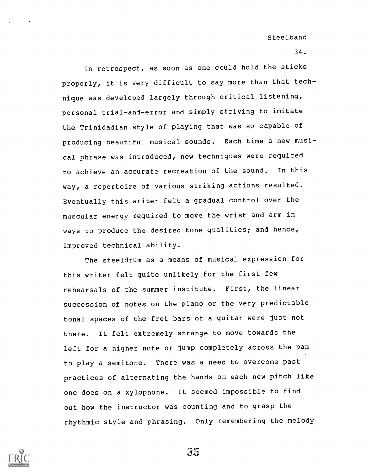34.

In retrospect, as soon as one could hold the sticks properly, it is very difficult to say more than that technique was developed largely through critical listening, personal trial-and-error and simply striving to imitate the Trinidadian style of playing that was so capable of producing beautiful musical sounds. Each time a new musical phrase was introduced, new techniques were required to achieve an accurate recreation of the sound. In this way, a repertoire of various striking actions resulted. Eventually this writer felt a gradual control over the muscular energy required to move the wrist and arm in ways to produce the desired tone qualities; and hence, improved technical ability.

The steeldrum as a means of musical expression for this writer felt quite unlikely for the first few rehearsals of the summer institute. First, the linear succession of notes on the piano or the very predictable tonal spaces of the fret bars of a guitar were just not there. It felt extremely strange to move towards the left for a higher note or jump completely across the pan to play a semitone. There was a need to overcome past practices of alternating the hands on each new pitch like one does on a xylophone. It seemed impossible to find out how the instructor was counting and to grasp the rhythmic style and phrasing. Only remembering the melody

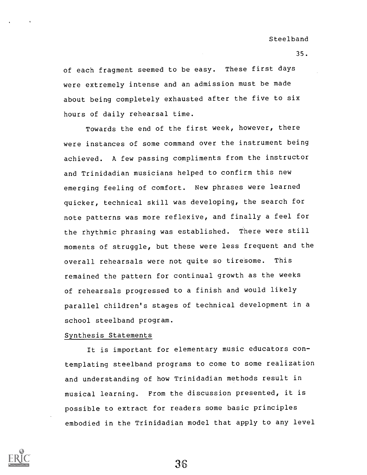of each fragment seemed to be easy. These first days were extremely intense and an admission must be made about being completely exhausted after the five to six hours of daily rehearsal time.

Towards the end of the first week, however, there were instances of some command over the instrument being achieved. A few passing compliments from the instructor and Trinidadian musicians helped to confirm this new emerging feeling of comfort. New phrases were learned quicker, technical skill was developing, the search for note patterns was more reflexive, and finally a feel for the rhythmic phrasing was established. There were still moments of struggle, but these were less frequent and the overall rehearsals were not quite so tiresome. This remained the pattern for continual growth as the weeks of rehearsals progressed to a finish and would likely parallel children's stages of technical development in a school steelband program.

### Synthesis Statements

It is important for elementary music educators contemplating steelband programs to come to some realization and understanding of how Trinidadian methods result in musical learning. From the discussion presented, it is possible to extract for readers some basic principles embodied in the Trinidadian model that apply to any level



36

35.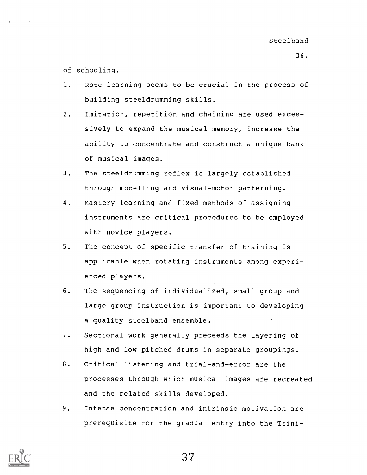of schooling.

- 1. Rote learning seems to be crucial in the process of building steeldrumming skills.
- 2. Imitation, repetition and chaining are used excessively to expand the musical memory, increase the ability to concentrate and construct a unique bank of musical images.
- 3. The steeldrumming reflex is largely established through modelling and visual-motor patterning.
- 4. Mastery learning and fixed methods of assigning instruments are critical procedures to be employed with novice players.
- 5. The concept of specific transfer of training is applicable when rotating instruments among experienced players.
- 6. The sequencing of individualized, small group and large group instruction is important to developing a quality steelband ensemble.
- 7. Sectional work generally preceeds the layering of high and low pitched drums in separate groupings.
- 8. Critical listening and trial-and-error are the processes through which musical images are recreated and the related skills developed.
- 9. Intense concentration and intrinsic motivation are prerequisite for the gradual entry into the Trini-

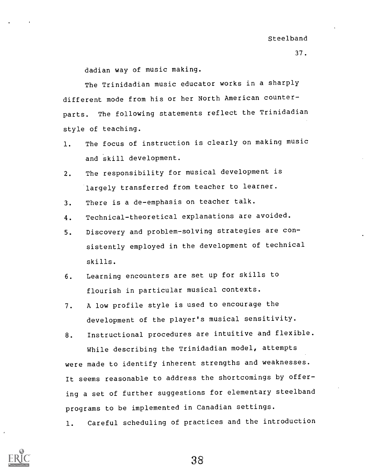dadian way of music making.

The Trinidadian music educator works in a sharply different mode from his or her North American counterparts. The following statements reflect the Trinidadian style of teaching.

- 1. The focus of instruction is clearly on making music and skill development.
- 2. The responsibility for musical development is largely transferred from teacher to learner.
- 3. There is a de-emphasis on teacher talk.
- 4. Technical-theoretical explanations are avoided.
- 5. Discovery and problem-solving strategies are consistently employed in the development of technical skills.
- 6. Learning encounters are set up for skills to flourish in particular musical contexts.
- 7. A low profile style is used to encourage the development of the player's musical sensitivity.
- 8. Instructional procedures are intuitive and flexible. While describing the Trinidadian model, attempts were made to identify inherent strengths and weaknesses. It seems reasonable to address the shortcomings by offering a set of further suggestions for elementary steelband programs to be implemented in Canadian settings.
- 1. Careful scheduling of practices and the introduction

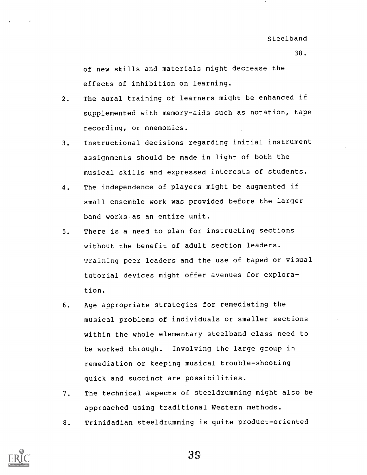of new skills and materials might decrease the effects of inhibition on learning.

- 2. The aural training of learners might be enhanced if supplemented with memory-aids such as notation, tape recording, or mnemonics.
- 3. Instructional decisions regarding initial instrument assignments should be made in light of both the musical skills and expressed interests of students.
- 4. The independence of players might be augmented if small ensemble work was provided before the larger band works as an entire unit.
- 5. There is a need to plan for instructing sections without the benefit of adult section leaders. Training peer leaders and the use of taped or visual tutorial devices might offer avenues for exploration.
- 6. Age appropriate strategies for remediating the musical problems of individuals or smaller sections within the whole elementary steelband class need to be worked through. Involving the large group in remediation or keeping musical trouble-shooting quick and succinct are possibilities.
- 7. The technical aspects of steeldrumming might also be approached using traditional Western methods.
- 8. Trinidadian steeldrumming is quite product-oriented

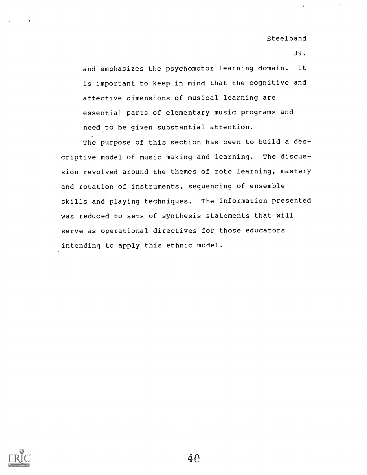39.

and emphasizes the psychomotor learning domain. It is important to keep in mind that the cognitive and affective dimensions of musical learning are essential parts of elementary music programs and need to be given substantial attention.

The purpose of this section has been to build a descriptive model of music making and learning. The discussion revolved around the themes of rote learning, mastery and rotation of instruments, sequencing of ensemble skills and playing techniques. The information presented was reduced to sets of synthesis statements that will serve as operational directives for those educators intending to apply this ethnic model.

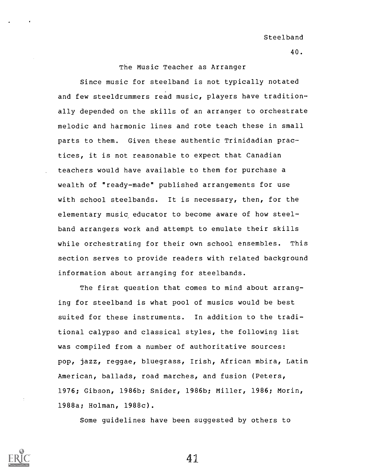# The Music Teacher as Arranger

Since music for steelband is not typically notated and few steeldrummers read music, players have traditionally depended on the skills of an arranger to orchestrate melodic and harmonic lines and rote teach these in small parts to them. Given these authentic Trinidadian practices, it is not reasonable to expect that Canadian teachers would have available to them for purchase a wealth of "ready-made" published arrangements for use with school steelbands. It is necessary, then, for the elementary music educator to become aware of how steelband arrangers work and attempt to emulate their skills while orchestrating for their own school ensembles. This section serves to provide readers with related background information about arranging for steelbands.

The first question that comes to mind about arranging for steelband is what pool of musics would be best suited for these instruments. In addition to the traditional calypso and classical styles, the following list was compiled from a number of authoritative sources: pop, jazz, reggae, bluegrass, Irish, African mbira, Latin American, ballads, road marches, and fusion (Peters, 1976; Gibson, 1986b; Snider, 1986b; Miller, 1986; Morin, 1988a; Holman, 1988c).

Some guidelines have been suggested by others to



 $\Delta$  1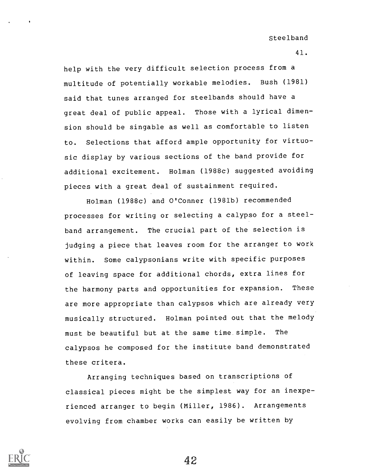41.

help with the very difficult selection process from a multitude of potentially workable melodies. Bush (1981) said that tunes arranged for steelbands should have a great deal of public appeal. Those with a lyrical dimension should be singable as well as comfortable to listen to. Selections that afford ample opportunity for virtuosic display by various sections of the band provide for additional excitement. Holman (1988c) suggested avoiding pieces with a great deal of sustainment required.

Holman (1988c) and O'Conner (1981b) recommended processes for writing or selecting a calypso for a steelband arrangement. The crucial part of the selection is judging a piece that leaves room for the arranger to work within. Some calypsonians write with specific purposes of leaving space for additional chords, extra lines for the harmony parts and opportunities for expansion. These are more appropriate than calypsos which are already very musically structured. Holman pointed out that the melody must be beautiful but at the same time. simple. The calypsos he composed for the institute band demonstrated these critera.

Arranging techniques based on transcriptions of classical pieces might be the simplest way for an inexperienced arranger to begin (Miller, 1986). Arrangements evolving from chamber works can easily be written by

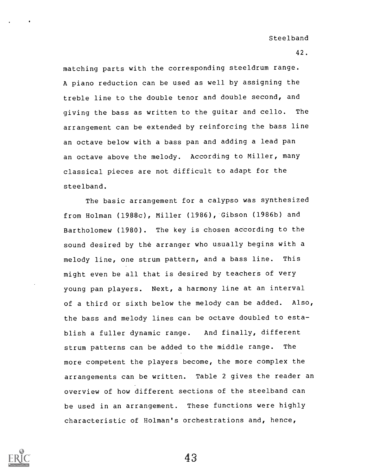matching parts with the corresponding steeldrum range. A piano reduction can be used as well by assigning the treble line to the double tenor and double second, and giving the bass as written to the guitar and cello. The arrangement can be extended by reinforcing the bass line an octave below with a bass pan and adding a lead pan an octave above the melody. According to Miller, many classical pieces are not difficult to adapt for the steelband.

The basic arrangement for a calypso was synthesized from Holman (1988c), Miller (1986), Gibson (1986b) and Bartholomew (1980). The key is chosen according to the sound desired by the arranger who usually begins with a melody line, one strum pattern, and a bass line. This might even be all that is desired by teachers of very young pan players. Next, a harmony line at an interval of a third or sixth below the melody can be added. Also, the bass and melody lines can be octave doubled to establish a fuller dynamic range. And finally, different strum patterns can be added to the middle range. The more competent the players become, the more complex the arrangements can be written. Table 2 gives the reader an overview of how different sections of the steelband can be used in an arrangement. These functions were highly characteristic of Holman's orchestrations and, hence,

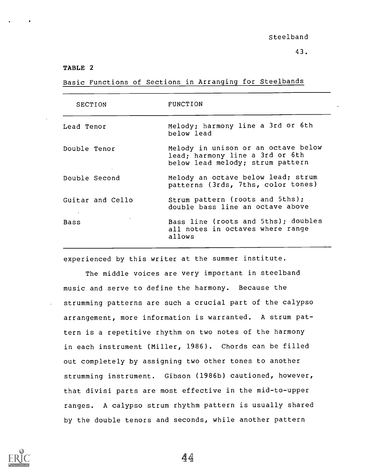## TABLE 2

Basic Functions of Sections in Arranging for Steelbands

| <b>SECTION</b>             | FUNCTION                                                                                                   |
|----------------------------|------------------------------------------------------------------------------------------------------------|
| Lead Tenor                 | Melody; harmony line a 3rd or 6th<br>below lead                                                            |
| Double Tenor               | Melody in unison or an octave below<br>lead; harmony line a 3rd or 6th<br>below lead melody; strum pattern |
| Double Second              | Melody an octave below lead; strum<br>patterns (3rds, 7ths, color tones)                                   |
| Guitar and Cello<br>$\sim$ | Strum pattern (roots and 5ths);<br>double bass line an octave above                                        |
| Bass                       | Bass line (roots and 5ths); doubles<br>all notes in octaves where range<br>allows                          |

experienced by this writer at the summer institute.

The middle voices are very important in steelband music and serve to define the harmony. Because the strumming patterns are such a crucial part of the calypso arrangement, more information is warranted. A strum pattern is a repetitive rhythm on two notes of the harmony in each instrument (Miller, 1986). Chords can be filled out completely by assigning two other tones to another strumming instrument. Gibson (1986b) cautioned, however, that divisi parts are most effective in the mid-to-upper ranges. A calypso strum rhythm pattern is usually shared by the double tenors and seconds, while another pattern

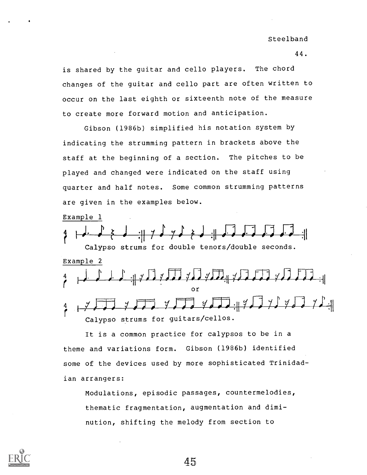44.

is shared by the guitar and cello players. The chord changes of the guitar and cello part are often written to occur on the last eighth or sixteenth note of the measure to create more forward motion and anticipation.

Gibson (1986b) simplified his notation system by indicating the strumming pattern in brackets above the staff at the beginning of a section. The pitches to be played and changed were indicated on the staff using quarter and half notes. Some common strumming patterns are given in the examples below.

Example 1

 $\Box$ <sup>4</sup> <sup>I</sup> ,i) <sup>J</sup> r: <sup>7</sup> ) <sup>J</sup> :1 ; ,. . ,1-.-; ,T; .. , il Calypso strums for double tenors/double seconds. Example 2 <sup>4</sup> #11 <sup>J</sup> <sup>0</sup> : -= r -- 4\_41Y <sup>040</sup> ?4\_4 :.1-411\_ 470 Ot-10 <sup>0</sup> 4)4)0 :11 or  $Y$  $Y$  $Y$  $Y$  $Y$  $Y$  $Y$  $Y$  $Y$  $Y$  $Y$  $Y$  $Y$ Calypso strums for guitars/cellos.

It is a common practice for calypsos to be in a theme and variations form. Gibson (1986b) identified some of the devices used by more sophisticated Trinidadian arrangers:

Modulations, episodic passages, countermelodies, thematic fragmentation, augmentation and diminution, shifting the melody from section to

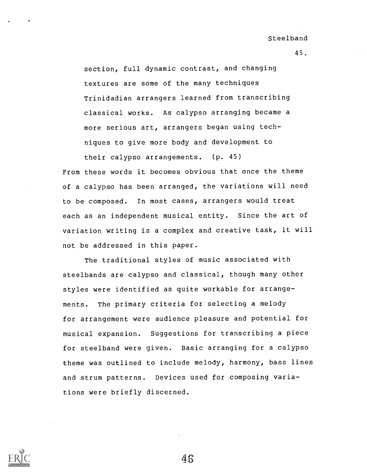45.

section, full dynamic contrast, and changing textures are some of the many techniques Trinidadian arrangers learned from transcribing classical works. As calypso arranging became a more serious art, arrangers began using techniques to give more body and development to their calypso arrangements. (p. 45)

From these words it becomes obvious that once the theme of a calypso has been arranged, the variations will need to be composed. In most cases, arrangers would treat each as an independent musical entity. Since the art of variation writing is a complex and creative task, it will not be addressed in this paper.

The traditional styles of music associated with steelbands are calypso and classical, though many other styles were identified as quite workable for arrangements. The primary criteria for selecting a melody for arrangement were audience pleasure and potential for musical expansion. Suggestions for transcribing a piece for steelband were given. Basic arranging for a calypso theme was outlined to include melody, harmony, bass lines and strum patterns. Devices used for composing variations were briefly discerned.

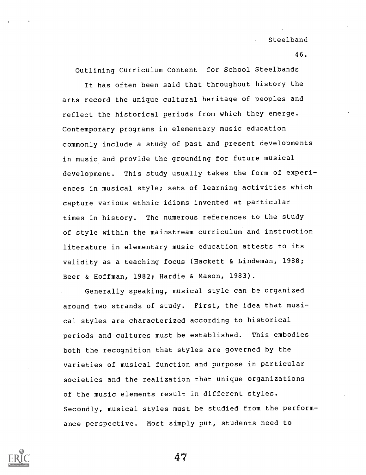46.

Outlining Curriculum Content for School Steelbands

It has often been said that throughout history the arts record the unique cultural heritage of peoples and reflect the historical periods from which they emerge. Contemporary programs in elementary music education commonly include a study of past and present developments in music and provide the grounding for future musical development. This study usually takes the form of experiences in musical style; sets of learning activities which capture various ethnic idioms invented at particular times in history. The numerous references to the study of style within the mainstream curriculum and instruction literature in elementary music education attests to its validity as a teaching focus (Hackett & Lindeman, 1988; Beer & Hoffman, 1982; Hardie & Mason, 1983).

Generally speaking, musical style can be organized around two strands of study. First, the idea that musical styles are characterized according to historical periods and cultures must be established. This embodies both the recognition that styles are governed by the varieties of musical function and purpose in particular societies and the realization that unique organizations of the music elements result in different styles. Secondly, musical styles must be studied from the performance perspective. Most simply put, students need to

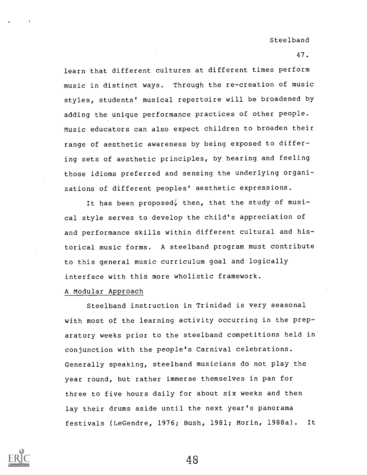learn that different cultures at different times perform music in distinct ways. Through the re-creation of music styles, students' musical repertoire will be broadened by adding the unique performance practices of other people. Music educators can also expect children to broaden their range of aesthetic awareness by being exposed to differing sets of aesthetic principles, by hearing and feeling those idioms preferred and sensing the underlying organizations of different peoples' aesthetic expressions.

It has been proposed, then, that the study of musical style serves to develop the child's appreciation of and performance skills within different cultural and historical music forms. A steelband program must contribute to this general music curriculum goal and logically interface with this more wholistic framework.

#### A Modular Approach

Steelband instruction in Trinidad is very seasonal with most of the learning activity occurring in the preparatory weeks prior to the steelband competitions held in conjunction with the people's Carnival celebrations. Generally speaking, steelband musicians do not play the year round, but rather immerse themselves in pan for three to five hours daily for about six weeks and then lay their drums aside until the next year's panorama festivals (LeGendre, 1976; Bush, 1981; Morin, 1988a). It

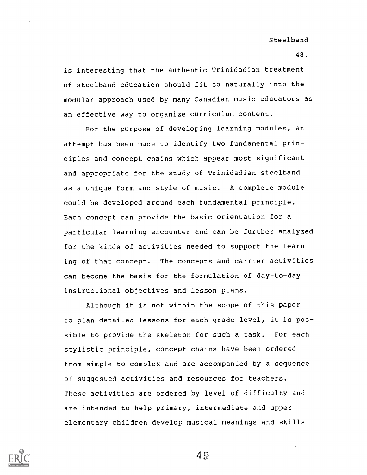is interesting that the authentic Trinidadian treatment of steelband education should fit so naturally into the modular approach used by many Canadian music educators as an effective way to organize curriculum content.

For the purpose of developing learning modules, an attempt has been made to identify two fundamental principles and concept chains which appear most significant and appropriate for the study of Trinidadian steelband as a unique form and style of music. A complete module could be developed around each fundamental principle. Each concept can provide the basic orientation for a particular learning encounter and can be further analyzed for the kinds of activities needed to support the learning of that concept. The concepts and carrier activities can become the basis for the formulation of day-to-day instructional objectives and lesson plans.

Although it is not within the scope of this paper to plan detailed lessons for each grade level, it is possible to provide the skeleton for such a task. For each stylistic principle, concept chains have been ordered from simple to complex and are accompanied by a sequence of suggested activities and resources for teachers. These activities are ordered by level of difficulty and are intended to help primary, intermediate and upper elementary children develop musical meanings and skills



49

48.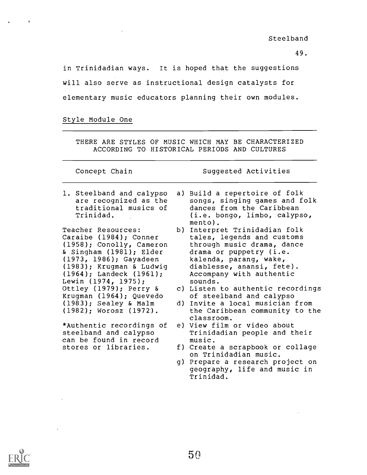49.

in Trinidadian ways. It is hoped that the suggestions will also serve as instructional design catalysts for elementary music educators planning their own modules.

Style Module One

THERE ARE STYLES OF MUSIC WHICH MAY BE CHARACTERIZED ACCORDING TO HISTORICAL PERIODS AND CULTURES

Concept Chain Suggested Activities

1. Steelband and calypso are recognized as the traditional musics of Trinidad.

Teacher Resources: Caraibe (1984); Conner (1958); Conolly, Cameron & Singham (1981); Elder (1973, 1986); Gayadeen (1983); Krugman & Ludwig (1964); Landeck (1961); Lewin (1974, 1975); Ottley (1979); Perry & Krugman (1964); Quevedo (1983); Sealey & Malm (1982); Worosz (1972).

\*Authentic recordings of steelband and calypso can be found in record stores or libraries.

- a) Build a repertoire of folk songs, singing games and folk dances from the Caribbean (i.e. bongo, limbo, calypso, mento).
- b) Interpret Trinidadian folk tales, legends and customs through music drama, dance drama or puppetry (i.e. kalenda, parang, wake, diablesse, anansi, fete). Accompany with authentic sounds.
- c) Listen to authentic recordings of steelband and calypso
- d) Invite a local musician from the Caribbean community to the classroom.
- e) View film or video about Trinidadian people and their music.
- f) Create a scrapbook or collage on Trinidadian music.
- g) Prepare a research project on geography, life and music in Trinidad.

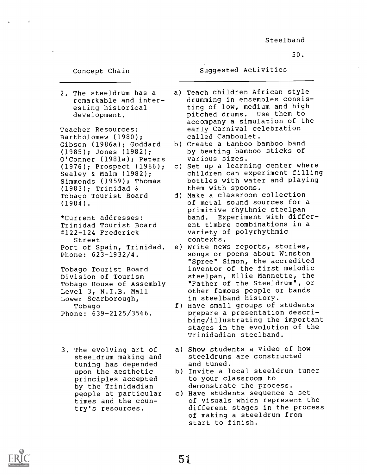50.

Concept Chain

Suggested Activities

2. The steeldrum has a remarkable and interesting historical development.

Teacher Resources: Bartholomew (1980); Gibson (1986a); Goddard (1985); Jones (1982); O'Conner (1981a); Peters (1976); Prospect (1986); Sealey & Malm (1982); Simmonds (1959); Thomas (1983); Trinidad & Tobago Tourist Board (1984).

\*Current addresses: Trinidad Tourist Board #122-124 Frederick Street Port of Spain, Trinidad. Phone: 623-1932/4.

Tobago Tourist Board Division of Tourism Tobago House of Assembly Level 3, N.I.B. Mall Lower Scarborough, Tobago Phone: 639-2125/3566.

3. The evolving art of steeldrum making and tuning has depended upon the aesthetic principles accepted by the Trinidadian people at particular times and the country's resources.

a) Teach children African style drumming in ensembles consisting of low, medium and high pitched drums. Use them to accompany a simulation of the early Carnival celebration called Camboulet.

- b) Create a tamboo bamboo band by beating bamboo sticks of various sizes.
- c) Set up a learning center where children can experiment filling bottles with water and playing them with spoons.
- d) Make a classroom collection of metal sound sources for a primitive rhythmic steelpan band. Experiment with different timbre combinations in a variety of polyrhythmic contexts.
- e) Write news reports, stories, songs or poems about Winston "Spree" Simon, the accredited inventor of the first melodic steelpan, Ellie Mannette, the "Father of the Steeldrum", or other famous people or bands in steelband history.
- f) Have small groups of students prepare a presentation describing/illustrating the important stages in the evolution of the Trinidadian steelband.
- a) Show students a video of how steeldrums are constructed and tuned.
- b) Invite a local steeldrum tuner to your classroom to demonstrate the process.
- c) Have students sequence a set of visuals which represent the different stages in the process of making a steeldrum from start to finish.

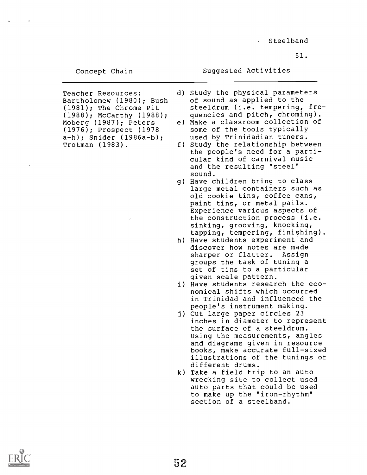51.

Concept Chain

Suggested Activities

- Teacher Resources: Bartholomew (1980); Bush (1981); The Chrome Pit (1988); McCarthy (1988); Moberg (1987); Peters (1976); Prospect (1978 a-h); Snider (1986a-b); Trotman (1983).
- d) Study the physical parameters of sound as applied to the steeldrum (i.e. tempering, frequencies and pitch, chroming).
- e) Make a classroom collection of some of the tools typically used by Trinidadian tuners.
- f) Study the relationship between the people's need for a particular kind of carnival music and the resulting "steel" sound.
- g) Have children bring to class large metal containers such as old cookie tins, coffee cans, paint tins, or metal pails. Experience various aspects of the construction process (i.e. sinking, grooving, knocking, tapping, tempering, finishing).
- h) Have students experiment and discover how notes are made<br>sharper or flatter. Assign sharper or flatter. groups the task of tuning a set of tins to a particular given scale pattern.
- i) Have students research the economical shifts which occurred in Trinidad and influenced the people's instrument making.
- j) Cut large paper circles 23 inches in diameter to represent the surface of a steeldrum. Using the measurements, angles and diagrams given in resource books, make accurate full-sized illustrations of the tunings of different drums.
- k) Take a field trip to an auto wrecking site to collect used auto parts that could be used to make up the "iron-rhythm" section of a steelband.

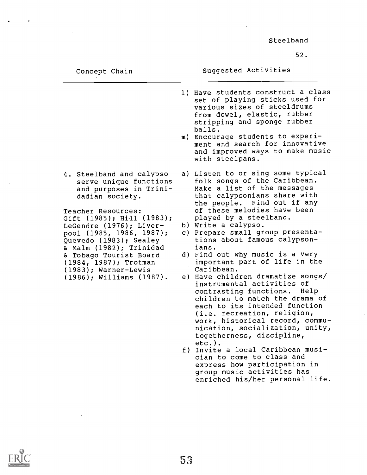52.

Concept Chain

Suggested Activities

- 1) Have students construct a class set of playing sticks used for various sizes of steeldrums from dowel, elastic, rubber stripping and sponge rubber balls.
- m) Encourage students to experiment and search for innovative and improved ways to make music with steelpans.
- a) Listen to or sing some typical folk songs of the Caribbean. Make a list of the messages that calypsonians share with the people. Find out if any Teacher Resources: of these melodies have been played by a steelband.
	- b) Write a calypso.
	- c) Prepare small group presentations about famous calypsonians.
	- d) Find out why music is a very important part of life in the Caribbean.
	- e) Have children dramatize songs/ instrumental activities of contrasting functions. Help children to match the drama of each to its intended function (i.e. recreation, religion, work, historical record, communication, socialization, unity, togetherness, discipline, etc.).
	- f) Invite a local Caribbean musician to come to class and express how participation in group music activities has enriched his/her personal life.

4. Steelband and calypso serve unique functions and purposes in Trinidadian society.

Gift (1985); Hill (1983); LeGendre (1976); Liverpool (1985, 1986, 1987); Quevedo (1983); Sealey & Malm (1982); Trinidad & Tobago Tourist Board (1984, 1987); Trotman (1983); Warner-Lewis (1986); Williams (1987).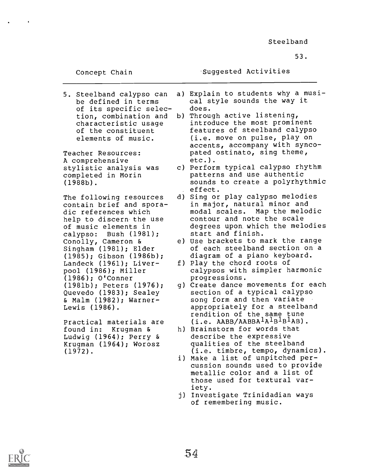53.

Concept Chain - Suggested Activities

of its specific selec-<br>tion, combination and

A comprehensive

The following resources contain brief and sporadic references which help to discern the use of music elements in calypso: Bush (1981); Conolly, Cameron & Singham (1981); Elder (1985); Gibson (1986b); Landeck (1961); Liverpool (1986); Miller (1986); O'Conner (1981b); Peters (1976); Quevedo (1983); Sealey & Malm (1982); Warner-Lewis (1986).

Practical materials are found in: Krugman & Ludwig (1964); Perry & Krugman (1964); Worosz (1972).

- 5. Steelband calypso can a) Explain to students why a musi-<br>be defined in terms cal style sounds the way it cal style sounds the way it<br>does.
- tion, combination and b) Through active listening,<br>characteristic usage introduce the most promin characteristic usage introduce the most prominent<br>of the constituent features of steelband calyps of the constituent features of steelband calypso<br>elements of music. (i.e. move on pulse, play on (i.e. move on pulse, play on accents, accompany with synco-Teacher Resources: pated ostinato, sing theme,<br>A comprehensive etc.).
- stylistic analysis was c) Perform typical calypso rhythm<br>completed in Morin eatterns and use authentic completed in Morin patterns and use authentic sounds to create a polyrhythmic effect.
	- d) Sing or play calypso melodies in major, natural minor and modal scales. Map the melodic contour and note the scale degrees upon which the melodies start and finish.
	- e) Use brackets to mark the range of each steelband section on a diagram of a piano keyboard.
	- f) Play the chord roots of calypsos with simpler harmonic progressions.
	- g) Create dance movements for each section of a typical calypso song form and then variate appropriately for a steelband rendition of the same tune  $(i.e. ABB/AABBA<sup>1</sup>A<sup>1</sup>B<sup>1</sup>B<sup>1</sup>AB).$
	- h) Brainstorm for words that describe the expressive qualities of the steelband (i.e. timbre, tempo, dynamics).
	- i) Make a list of unpitched percussion sounds used to provide metallic color and a list of those used for textural variety.
	- j) Investigate Trinidadian ways of remembering music.

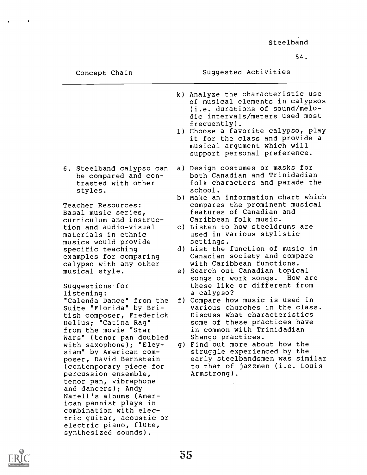54.

## Suggested Activities

- k) Analyze the characteristic use of musical elements in calypsos (i.e. durations of sound/melodic intervals/meters used most frequently).
- 1) Choose a favorite calypso, play it for the class and provide a musical argument which will support personal preference.
- 6. Steelband calypso can be compared and contrasted with other styles.

Teacher Resources: Basal music series, curriculum and instruction and audio-visual materials in ethnic musics would provide specific teaching examples for comparing calypso with any other musical style.

Suggestions for listening: "Calenda Dance" from the Suite "Florida" by British composer, Frederick Delius; "Catina Rag" from the movie "Star Wars" (tenor pan doubled with saxophone); "Eleysiam" by American composer, David Bernstein (contemporary piece for percussion ensemble, tenor pan, vibraphone and dancers); Andy Narell's albums (American pannist plays in combination with electric guitar, acoustic or electric piano, flute, synthesized sounds).

- a) Design costumes or masks for both Canadian and Trinidadian folk characters and parade the school.
- b) Make an information chart which compares the prominent musical features of Canadian and Caribbean folk music.
- c) Listen to how steeldrums are used in various stylistic settings.
- d) List the function of music in Canadian society and compare with Caribbean functions.
- e) Search out Canadian topical songs or work songs. these like or different from a calypso?
- f) Compare how music is used in various churches in the class. Discuss what characteristics some of these practices have in common with Trinidadian Shango practices.
- g) Find out more about how the struggle experienced by the early steelbandsmen was similar to that of jazzmen (i.e. Louis Armstrong).

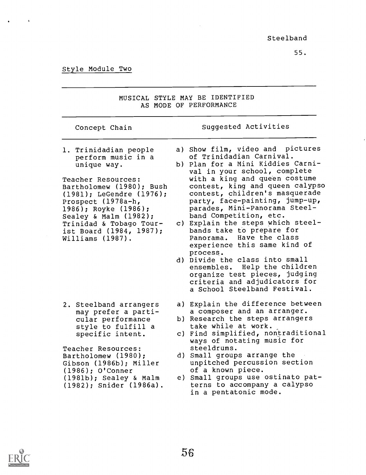$\ddot{\phantom{0}}$ 

| MUSICAL STYLE MAY BE IDENTIFIED<br>AS MODE OF PERFORMANCE                                                                                                                                                                   |  |                                                                                                                                                                                                 |  |
|-----------------------------------------------------------------------------------------------------------------------------------------------------------------------------------------------------------------------------|--|-------------------------------------------------------------------------------------------------------------------------------------------------------------------------------------------------|--|
| Concept Chain                                                                                                                                                                                                               |  | Suggested Activities                                                                                                                                                                            |  |
| 1. Trinidadian people                                                                                                                                                                                                       |  | a) Show film, video and pictures<br>of Trinidadian Carnival.                                                                                                                                    |  |
| perform music in a<br>unique way.                                                                                                                                                                                           |  | b) Plan for a Mini Kiddies Carni-<br>val in your school, complete                                                                                                                               |  |
| Teacher Resources:<br>Bartholomew (1980); Bush<br>(1981); LeGendre (1976);<br>Prospect (1978a-h,<br>1986); Royke (1986);<br>Sealey & Malm (1982);<br>Trinidad & Tobago Tour-<br>ist Board (1984, 1987);<br>Williams (1987). |  | with a king and queen costume<br>contest, king and queen calypso<br>contest, children's masquerade<br>party, face-painting, jump-up,<br>parades, Mini-Panorama Steel-<br>band Competition, etc. |  |
|                                                                                                                                                                                                                             |  | c) Explain the steps which steel-<br>bands take to prepare for<br>Panorama. Have the class<br>experience this same kind of                                                                      |  |
|                                                                                                                                                                                                                             |  | process.<br>d) Divide the class into small<br>ensembles. Help the children<br>organize test pieces, judging<br>criteria and adjudicators for<br>a School Steelband Festival.                    |  |
| 2. Steelband arrangers<br>may prefer a parti-                                                                                                                                                                               |  | a) Explain the difference between<br>a composer and an arranger.                                                                                                                                |  |
| cular performance<br>style to fulfill a                                                                                                                                                                                     |  | b) Research the steps arrangers<br>take while at work.                                                                                                                                          |  |
| specific intent.                                                                                                                                                                                                            |  | c) Find simplified, nontraditional<br>ways of notating music for                                                                                                                                |  |
| Teacher Resources:<br>Bartholomew (1980);<br>Gibson (1986b); Miller<br>$(1986);$ O'Conner                                                                                                                                   |  | steeldrums.<br>d) Small groups arrange the<br>unpitched percussion section<br>of a known piece.                                                                                                 |  |
| (1981b); Sealey & Malm<br>(1982); Snider (1986a).                                                                                                                                                                           |  | e) Small groups use ostinato pat-<br>terns to accompany a calypso<br>in a pentatonic mode.                                                                                                      |  |
|                                                                                                                                                                                                                             |  |                                                                                                                                                                                                 |  |



 $\sim 10^{-1}$ 



 $\mathbf{A}$  and  $\mathbf{A}$  and  $\mathbf{A}$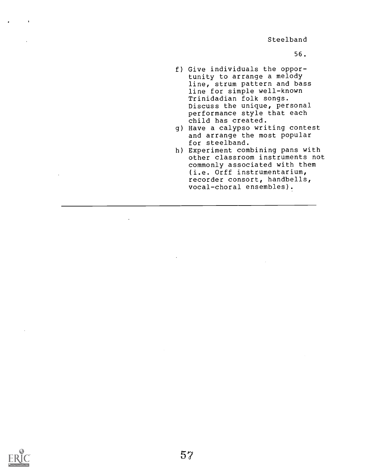56.

- f) Give individuals the opportunity to arrange a melody line, strum pattern and bass line for simple well-known Trinidadian folk songs. Discuss the unique, personal performance style that each child has created.
- g) Have a calypso writing contest and arrange the most popular for steelband.
- h) Experiment combining pans with other classroom instruments not commonly associated with them (i.e. Orff instrumentarium, recorder consort, handbells, vocal-choral ensembles).

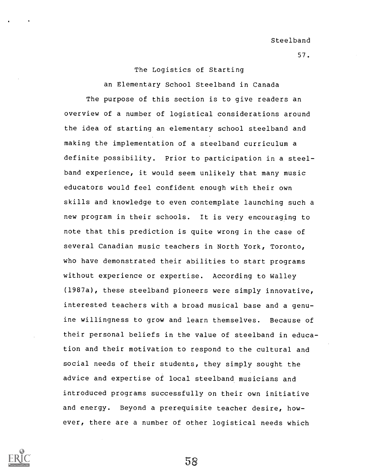57.

## The Logistics of Starting

an Elementary School Steelband in Canada The purpose of this section is to give readers an overview of a number of logistical considerations around the idea of starting an elementary school steelband and making the implementation of a steelband curriculum a definite possibility. Prior to participation in a steelband experience, it would seem unlikely that many music educators would feel confident enough with their own skills and knowledge to even contemplate launching such a new program in their schools. It is very encouraging to note that this prediction is quite wrong in the case of several Canadian music teachers in North York, Toronto, who have demonstrated their abilities to start programs without experience or expertise. According to Walley (1987a), these steelband pioneers were simply innovative, interested teachers with a broad musical base and a genuine willingness to grow and learn themselves. Because of their personal beliefs in the value of steelband in education and their motivation to respond to the cultural and social needs of their students, they simply sought the advice and expertise of local steelband musicians and introduced programs successfully on their own initiative and energy. Beyond a prerequisite teacher desire, however, there are a number of other logistical needs which

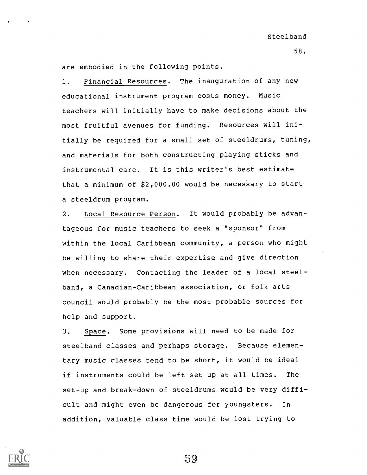are embodied in the following points.

1. Financial Resources. The inauguration of any new educational instrument program costs money. Music teachers will initially have to make decisions about the most fruitful avenues for funding. Resources will initially be required for a small set of steeldrums, tuning, and materials for both constructing playing sticks and instrumental care. It is this writer's best estimate that a minimum of \$2,000.00 would be necessary to start a steeldrum program.

2. Local Resource Person. It would probably be advantageous for music teachers to seek a "sponsor" from within the local Caribbean community, a person who might be willing to share their expertise and give direction when necessary. Contacting the leader of a local steelband, a Canadian-Caribbean association, or folk arts council would probably be the most probable sources for help and support.

3. Space. Some provisions will need to be made for steelband classes and perhaps storage. Because elementary music classes tend to be short, it would be ideal if instruments could be left set up at all times. The set-up and break-down of steeldrums would be very difficult and might even be dangerous for youngsters. In addition, valuable class time would be lost trying to

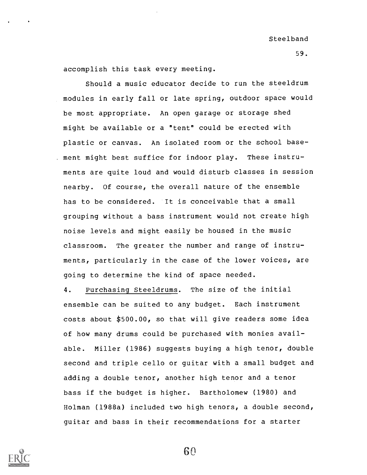accomplish this task every meeting.

Should a music educator decide to run the steeldrum modules in early fall or late spring, outdoor space would be most appropriate. An open garage or storage shed might be available or a "tent" could be erected with plastic or canvas. An isolated room or the school base- . ment might best suffice for indoor play. These instruments are quite loud and would disturb classes in session nearby. Of course, the overall nature of the ensemble has to be considered. It is conceivable that a small grouping without a bass instrument would not create high noise levels and might easily be housed in the music classroom. The greater the number and range of instruments, particularly in the case of the lower voices, are going to determine the kind of space needed.

4. Purchasing Steeldrums. The size of the initial ensemble can be suited to any budget. Each instrument costs about \$500.00, so that will give readers some idea of how many drums could be purchased with monies available. Miller (1986) suggests buying a high tenor, double second and triple cello or guitar with a small budget and adding a double tenor, another high tenor and a tenor bass if the budget is higher. Bartholomew (1980) and Holman (1988a) included two high tenors, a double second, guitar and bass in their recommendations for a starter

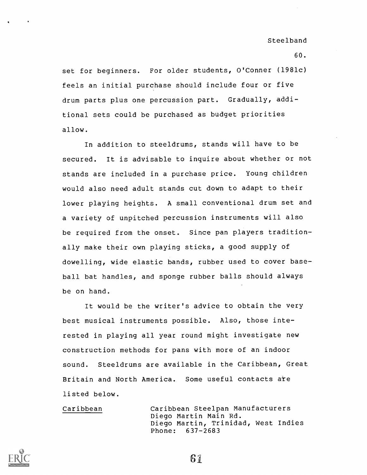60.

set for beginners. For older students, O'Conner (1981c) feels an initial purchase should include four or five drum parts plus one percussion part. Gradually, additional sets could be purchased as budget priorities allow.

In addition to steeldrums, stands will have to be secured. It is advisable to inquire about whether or not stands are included in a purchase price. Young children would also need adult stands cut down to adapt to their lower playing heights. A small conventional drum set and a variety of unpitched percussion instruments will also be required from the onset. Since pan players traditionally make their own playing sticks, a good supply of dowelling, wide elastic bands, rubber used to cover baseball bat handles, and sponge rubber balls should always be on hand.

It would be the writer's advice to obtain the very best musical instruments possible. Also, those interested in playing all year round might investigate new construction methods for pans with more of an indoor sound. Steeldrums are available in the Caribbean, Great Britain and North America. Some useful contacts are listed below.

Caribbean Caribbean Steelpan Manufacturers Diego Martin Main Rd. Diego Martin, Trinidad, West Indies Phone: 637-2683

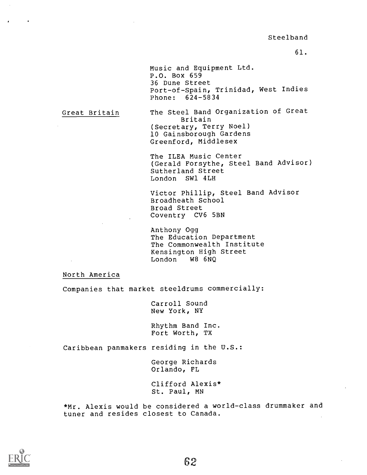Music and Equipment Ltd. P.O. Box 659 36 Dune Street Port-of-Spain, Trinidad, West Indies Phone: 624-5834

Great Britain

The Steel Band Organization of Great Britain (Secretary, Terry Noel) 10 Gainsborough Gardens Greenford, Middlesex

The ILEA Music Center (Gerald Forsythe, Steel Band Advisor) Sutherland Street London SW1 4LH

Victor Phillip, Steel Band Advisor Broadheath School Broad Street Coventry CV6 5BN

Anthony Ogg The Education Department The Commonwealth Institute Kensington High Street London W8 6NQ

North America

Companies that market steeldrums commercially:

Carroll Sound New York, NY

Rhythm Band Inc. Fort Worth, TX

Caribbean panmakers residing in the U.S.:

George Richards Orlando, FL

Clifford Alexis\* St. Paul, MN

\*Mr. Alexis would be considered a world-class drummaker and tuner and resides closest to Canada.

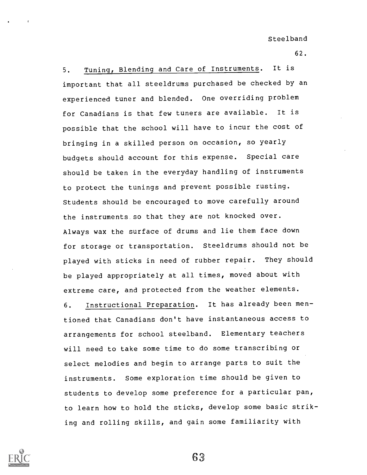62.

5. Tuning, Blending and Care of Instruments. It is important that all steeldrums purchased be checked by an experienced tuner and blended. One overriding problem for Canadians is that few tuners are available. It is possible that the school will have to incur the cost of bringing in a skilled person on occasion, so yearly budgets should account for this expense. Special care should be taken in the everyday handling of instruments to protect the tunings and prevent possible rusting. Students should be encouraged to move carefully around the instruments so that they are not knocked over. Always wax the surface of drums and lie them face down for storage or transportation. Steeldrums should not be played with sticks in need of rubber repair. They should be played appropriately at all times, moved about with extreme care, and protected from the weather elements. 6. Instructional Preparation. It has already been mentioned that Canadians don't have instantaneous access to arrangements for school steelband. Elementary teachers will need to take some time to do some transcribing or select melodies and begin to arrange parts to suit the instruments. Some exploration time should be given to

students to develop some preference for a particular pan, to learn how to hold the sticks, develop some basic striking and rolling skills, and gain some familiarity with

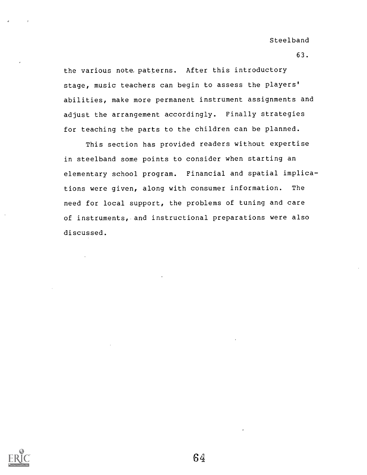63.

the various note, patterns. After this introductory stage, music teachers can begin to assess the players' abilities, make more permanent instrument assignments and adjust the arrangement accordingly. Finally strategies for teaching the parts to the children can be planned.

This section has provided readers without expertise in steelband some points to consider when starting an elementary school program. Financial and spatial implications were given, along with consumer information. The need for local support, the problems of tuning and care of instruments, and instructional preparations were also discussed.

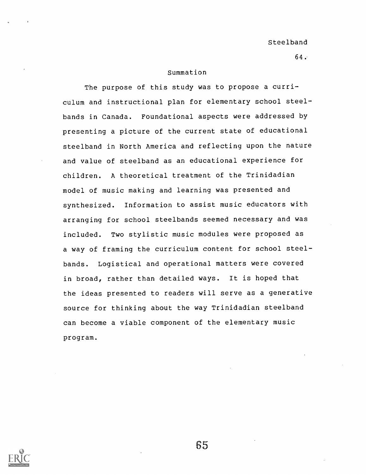64..

#### Summation

The purpose of this study was to propose a curriculum and instructional plan for elementary school steelbands in Canada. Foundational aspects were addressed by presenting a picture of the current state of educational steelband in North America and reflecting upon the nature and value of steelband as an educational experience for children. A theoretical treatment of the Trinidadian model of music making and learning was presented and synthesized. Information to assist music educators with arranging for school steelbands seemed necessary and was included. Two stylistic music modules were proposed as a way of framing the curriculum content for school steelbands. Logistical and operational matters were covered in broad, rather than detailed ways. It is hoped that the ideas presented to readers will serve as a generative source for thinking about the way Trinidadian steelband can become a viable component of the elementary music program.

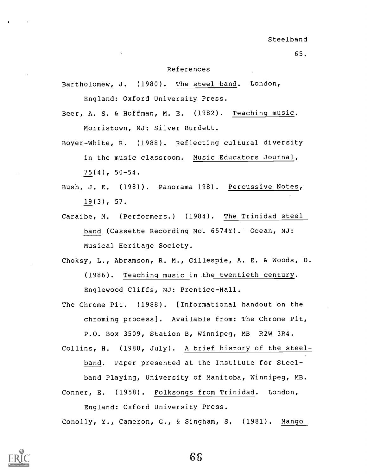#### References

Bartholomew, J. (1980). The steel band. London, England: Oxford University Press.

Beer, A. S. & Hoffman, M. E. (1982). Teaching music. Morristown, NJ: Silver Burdett.

- Boyer-White, R. (1988). Reflecting cultural diversity in the music classroom. Music Educators Journal, 75(4), 50-54.
- Bush, J. E. (1981). Panorama 1981. Percussive Notes, 19(3), 57.
- Caraibe, M. (Performers.) (1984). The Trinidad steel band (Cassette Recording No. 6574Y). Ocean, NJ: Musical Heritage Society.
- Choksy, L., Abramson, R. M., Gillespie, A. E. & Woods, D. (1986). Teaching music in the twentieth century. Englewood Cliffs, NJ: Prentice-Hall.
- The Chrome Pit. (1988). [Informational handout on the chroming process]. Available from: The Chrome Pit, P.O. Box 3509, Station B, Winnipeg, MB R2W 3R4.
- Collins, H. (1988, July). A brief history of the steelband. Paper presented at the Institute for Steel-

band Playing, University of Manitoba, Winnipeg, MB.

Conner, E. (1958). Folksongs from Trinidad. London, England: Oxford University Press.

Conolly, Y., Cameron, G., & Singham, S. (1981). Mango

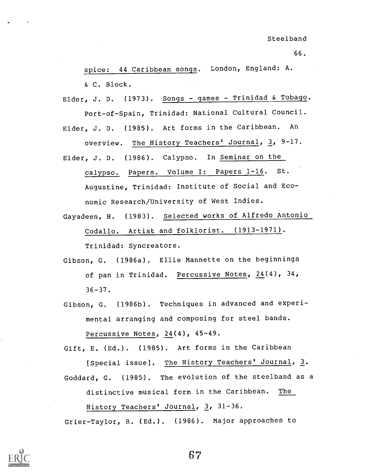spice: 44 Caribbean songs. London, England: A. & C. Block.

Elder, J. D. (1973). Songs - games - Trinidad & Tobago. Port-of-Spain, Trinidad: National Cultural Council. Elder, J. D. (1985). Art forms in the Caribbean. An overview. The History Teachers' Journal, 3, 9-17. Elder, J. D. (1986). Calypso. In Seminar on the calypso. Papers. Volume I: Papers 1-16. St.

Augustine, Trinidad: Institute of Social and Economic Research/University of West Indies.

Gayadeen, H. (1983). Selected works of Alfredo Antonio Codallo. Artist and folklorist. (1913-1971). Trinidad: Syncreators.

Gibson, G. (1986a). Ellie Mannette on the beginnings of pan in Trinidad. Percussive Notes, 24(4), 34,  $36 - 37$ .

Gibson, G. (1986b). Techniques in advanced and experimental arranging and composing for steel bands. Percussive Notes, 24(4), 45-49.

Gift, E. (Ed.). (1985). Art forms in the Caribbean [Special issue]. The History Teachers' Journal, 3. Goddard, G. (1985). The evolution of the steelband as a distinctive musical form in the Caribbean. The History Teachers' Journal, 3, 31-36.

Grier-Taylor, R. (Ed.). (1986). Major approaches to

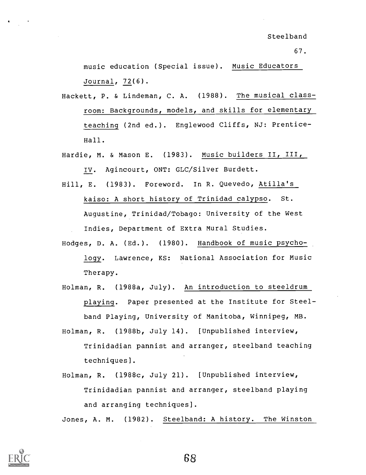music education (Special issue). Music Educators Journal, 72(6).

- Hackett, P. & Lindeman, C. A. (1988). The musical classroom: Backgrounds, models, and skills for elementary teaching (2nd ed.). Englewood Cliffs, NJ: Prentice-Hall.
- Hardie, M. & Mason E. (1983). Music builders II, III, IV. Agincourt, ONT: GLC/Silver Burdett.
- Hill, E. (1983). Foreword. In R. Quevedo, Atilla's kaiso: A short history of Trinidad calypso. St. Augustine, Trinidad/Tobago: University of the West

Indies, Department of Extra Mural Studies.

- Hodges, D. A. (Ed.). (1980). Handbook of music psychology. Lawrence, KS: National Association for Music Therapy.
- Holman, R. (1988a, July). An introduction to steeldrum playing. Paper presented at the Institute for Steelband Playing, University of Manitoba, Winnipeg, MB.
- Holman, R. (1988b, July 14). [Unpublished interview, Trinidadian pannist and arranger, steelband teaching techniques].
- Holman, R. (1988c, July 21). [Unpublished interview, Trinidadian pannist and arranger, steelband playing and arranging techniques].

Jones, A. M. (1982). Steelband: A history. The Winston

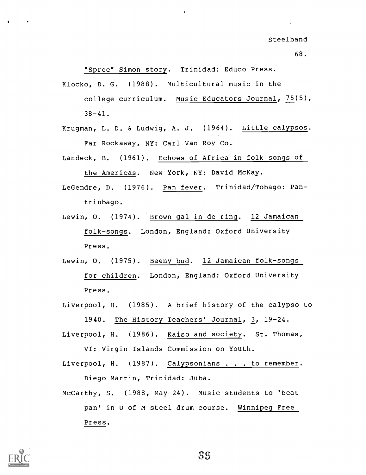68.

"Spree" Simon story. Trinidad: Educo Press.

Klocko, D. G. (1988). Multicultural music in the college curriculum. Music Educators Journal, 75(5),  $38 - 41$ .

- Krugman, L. D. & Ludwig, A. J. (1964). Little calypsos. Far Rockaway, NY: Carl Van Roy Co.
- Landeck, B. (1961). Echoes of Africa in folk songs of the Americas. New York, NY: David McKay.
- LeGendre, D. (1976). Pan fever. Trinidad/Tobago: Pantrinbago.
- Lewin, 0. (1974). Brown gal in de ring. 12 Jamaican folk-songs. London, England: Oxford University Press.
- Lewin, O. (1975). Beeny bud. 12 Jamaican folk-songs for children. London, England: Oxford University Press.
- Liverpool, H. (1985). A brief history of the calypso to 1940. The History Teachers' Journal, 3, 19-24.
- Liverpool, H. (1986). Kaiso and society. St. Thomas, VI: Virgin Islands Commission on Youth.
- Liverpool, H. (1987). Calypsonians . . . to remember. Diego Martin, Trinidad: Juba.
- McCarthy, S. (1988, May 24). Music students to 'beat pan' in U of M steel drum course. Winnipeg Free Press.

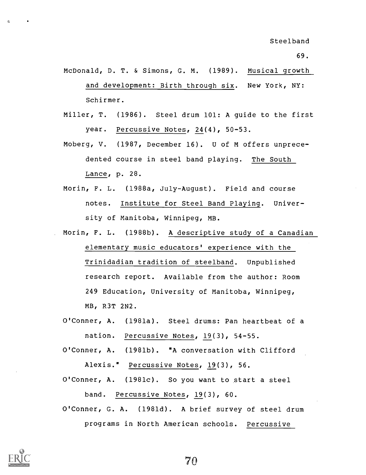- McDonald, D. T. & Simons, G. M. (1989). Musical growth and development: Birth through six. New York, NY: Schirmer.
- Miller, T. (1986). Steel drum 101: A guide to the first year. Percussive Notes, 24(4), 50-53.
- Moberg, V. (1987, December 16). U of M offers unprecedented course in steel band playing. The South Lance, p. 28.
- Morin, F. L. (1988a, July-August). Field and course notes. Institute for Steel Band Playing. University of Manitoba, Winnipeg, MB.
- Morin, F. L. (1988b). A descriptive study of a Canadian elementary music educators' experience with the Trinidadian tradition of steelband. Unpublished research report. Available from the author: Room 249 Education, University of Manitoba, Winnipeg, MB, R3T 2N2.
- O'Conner, A. (1981a). Steel drums: Pan heartbeat of a nation. Percussive Notes, 19(3), 54-55.
- O'Conner, A. (1981b). "A conversation with Clifford Alexis." Percussive Notes, 19(3), 56.
- O'Conner, A. (1981c). So you want to start a steel band. Percussive Notes, 19(3), 60.
- O'Conner, G. A. (1981d). A brief survey of steel drum programs in North American schools. Percussive

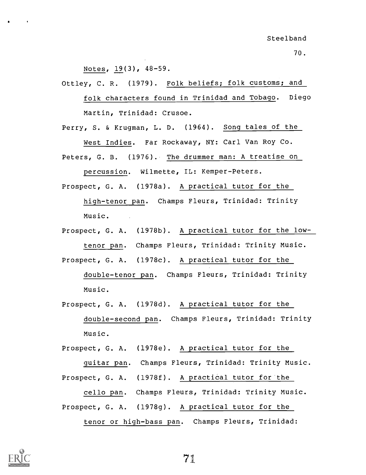Notes, 19(3), 48-59.

Ottley, C. R. (1979). Folk beliefs; folk customs; and folk characters found in Trinidad and Tobago. Diego Martin, Trinidad: Crusoe.

Perry, S. & Krugman, L. D. (1964). Song tales of the West Indies. Far Rockaway, NY: Carl Van Roy Co. Peters, G. B. (1976). The drummer man: A treatise on

percussion. Wilmette, IL: Kemper-Peters.

- Prospect, G. A. (1978a). A practical tutor for the high-tenor pan. Champs Fleurs, Trinidad: Trinity Music.
- Prospect, G. A. (1978b). A practical tutor for the lowtenor pan. Champs Fleurs, Trinidad: Trinity Music.

Prospect, G. A. (1978c). A practical tutor for the

double-tenor pan. Champs Fleurs, Trinidad: Trinity Music.

Prospect, G. A. (1978d). A practical tutor for the double-second pan. Champs Fleurs, Trinidad: Trinity Music.

Prospect, G. A. (1978e). A practical tutor for the

guitar pan. Champs Fleurs, Trinidad: Trinity Music.

Prospect, G. A. (1978f). A practical tutor for the

cello pan. Champs Fleurs, Trinidad: Trinity Music.

Prospect, G. A. (1978g). A practical tutor for the tenor or high-bass pan. Champs Fleurs, Trinidad:

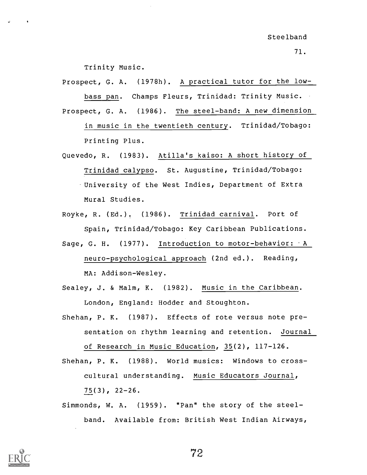Trinity Music.

Prospect, G. A. (1978h). A practical tutor for the lowbass pan. Champs Fleurs, Trinidad: Trinity Music. Prospect, G. A. (1986). The steel-band: A new dimension

in music in the twentieth century. Trinidad/Tobago: Printing Plus.

Quevedo, R. (1983). Atilla's kaiso: A short history of Trinidad calypso. St. Augustine, Trinidad/Tobago: University of the West Indies, Department of Extra Mural Studies.

Royke, R. (Ed.). (1986). Trinidad carnival. Port of Spain, Trinidad/Tobago: Key Caribbean Publications.

Sage, G. H. (1977). Introduction to motor-behavior: A neuro-psychological approach (2nd ed.). Reading, MA: Addison-Wesley.

Sealey, J. & Malm, K. (1982). Music in the Caribbean. London, England: Hodder and Stoughton.

Shehan, P. K. (1987). Effects of rote versus note presentation on rhythm learning and retention. Journal of Research in Music Education, 35(2), 117-126.

Shehan, P. K. (1988). World musics: Windows to crosscultural understanding. Music Educators Journal, 75(3), 22-26.

Simmonds, W. A. (1959). "Pan" the story of the steelband. Available from: British West Indian Airways,

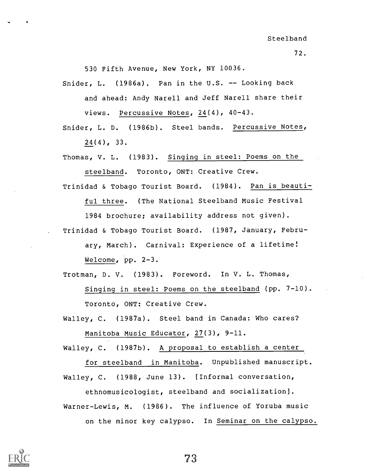72.

530 Fifth Avenue, New York, NY 10036.

Snider, L.  $(1986a)$ . Pan in the U.S. -- Looking back and ahead: Andy Narell and Jeff Narell share their views. Percussive Notes, 24(4), 40-43.

Snider, L. D. (1986b). Steel bands. Percussive Notes, 24(4), 33.

Thomas, V. L. (1983). Singing in steel: Poems on the steelband. Toronto, ONT: Creative Crew.

Trinidad & Tobago Tourist Board. (1984). Pan is beauti-

ful three. (The National Steelband Music Festival 1984 brochure; availability address not given). Trinidad & Tobago Tourist Board. (1987, January, Febru-

ary, March). Carnival: Experience of a lifetime! Welcome, pp. 2-3.

Trotman, D. V. (1983). Foreword. In V. L. Thomas, Singing in steel: Poems on the steelband (pp. 7-10). Toronto, ONT: Creative Crew.

Walley, C. (1987a). Steel band in Canada: Who cares? Manitoba Music Educator, 27(3), 9-11.

Walley, C. (1987b). A proposal to establish a center

for steelband in Manitoba. Unpublished manuscript. Walley, C. (1988, June 13). [Informal conversation,

ethnomusicologist, steelband and socialization]. Warner-Lewis, M. (1986). The influence of Yoruba music on the minor key calypso. In Seminar on the calypso.



73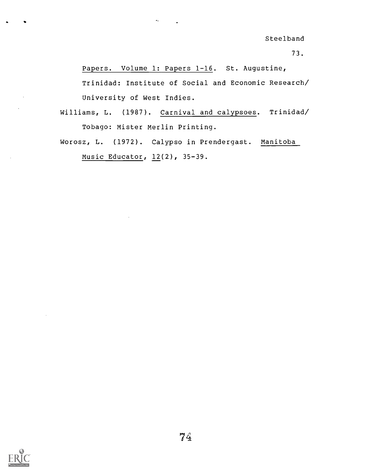Steelband

73.

Papers. Volume 1: Papers 1-16. St. Augustine, Trinidad: Institute of Social and Economic Research/ University of West Indies.

Williams, L. (1987). Carnival and calypsoes. Trinidad/ Tobago: Mister Merlin Printing.

 $\mathbf{e}_{\mathbf{a}}$  ,  $\mathbf{e}_{\mathbf{a}}$  ,  $\mathbf{e}_{\mathbf{a}}$ 

Worosz, L. (1972). Calypso in Prendergast. Manitoba Music Educator, 12(2), 35-39.

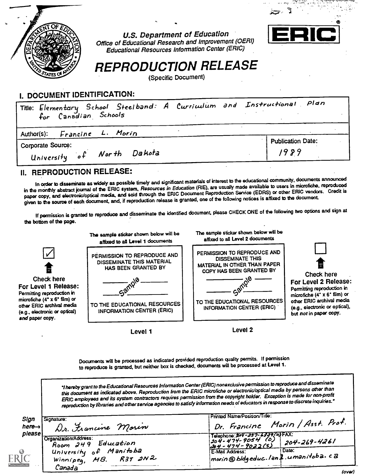

U.S. Department of Education Office of Educational Research and Improvement (OERI) Educational Resources Information Center (ERIC)



# REPRODUCTION RELEASE

(Specific Document)

### I. DOCUMENT IDENTIFICATION:

| Title: Elementary School Steelband: A Curriculum and Instructional Plan<br>for Canadian Schools |                          |
|-------------------------------------------------------------------------------------------------|--------------------------|
| Author(s): Francine L. Morin                                                                    |                          |
| Corporate Source:                                                                               | <b>Publication Date:</b> |
| University of North Dakota                                                                      | 1989                     |

### II. REPRODUCTION RELEASE:

In order to disseminate as widely as possible timely and significant materials of interest to the educational community, documents announced in the monthly abstract journal of the ERIC system, Resources in Education (RIE), are usually made available to users in microfiche. reproduced paper copy, and electronic/optical media, and sold through the ERIC Document Reproduction Service (EDRS) or other ERIC vendors. Credit is given to the source of each document, and, if reproduction release is granted, one of the following notices is affixed to the document

If permission is granted to reproduce and disseminate the identified document, please CHECK ONE of the following two options and sign at the bottom of the page.



Level 1

Level 2

Documents will be processed as indicated provided reproduction quality permits. If permission to reproduce is granted, but neither box is checked, documents will be processed at Level 1.

'I hereby grant to the Educational Resources Information Center (ERIC) nonexclusive permission to reproduceand cfisseminate this document as indicated above. Reproduction from the ERIC microfiche or electronic/optical media by persons other than ERIC employees and its system contractors requires permission from the copytight holder. Exception is made for non-profit reproduction by libraries and other service agencies to satisfy information needs of educators in response to discrete inquiries."

| Sign<br>$here\rightarrow$           | Signature:<br>Dr. Francine Morin                                                                           | Printed Name/Position/Title:<br>Dr. Francine Morin / Asst. Prof.                                                                                                                                  |
|-------------------------------------|------------------------------------------------------------------------------------------------------------|---------------------------------------------------------------------------------------------------------------------------------------------------------------------------------------------------|
| please<br>RIC<br>t Provided by ERIC | <b>Organization/Address:</b><br>Room 249 Education<br>University of Manitoba<br>Winnipeq, $MB$ . R3T $3N2$ | $T = \frac{1}{2}$<br>$1204 - 474 - 9054$ (0).<br>$204 - 269 - 4261$<br><u>44 - 474 - 9022(5)</u><br>: Date:<br>E-Mail Address:<br>$\frac{1}{2}$ marin @ bldgeduc.lan $\frac{3}{2}$ .u manitoba.ca |
|                                     | Canada                                                                                                     | ------                                                                                                                                                                                            |